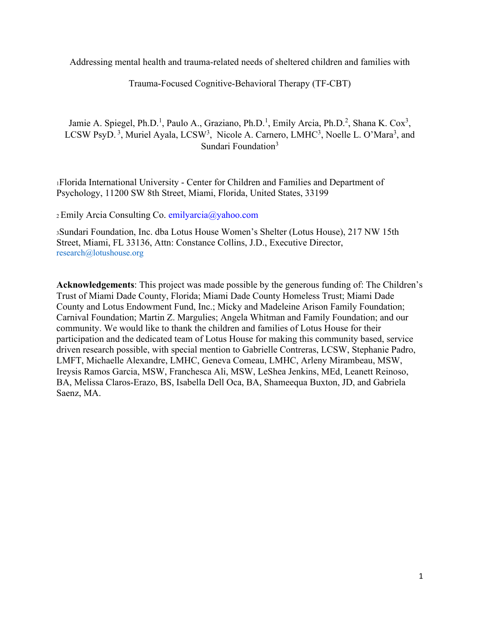Addressing mental health and trauma-related needs of sheltered children and families with

Trauma-Focused Cognitive-Behavioral Therapy (TF-CBT)

Jamie A. Spiegel, Ph.D.<sup>1</sup>, Paulo A., Graziano, Ph.D.<sup>1</sup>, Emily Arcia, Ph.D.<sup>2</sup>, Shana K. Cox<sup>3</sup>, LCSW PsyD.<sup>3</sup>, Muriel Ayala, LCSW<sup>3</sup>, Nicole A. Carnero, LMHC<sup>3</sup>, Noelle L. O'Mara<sup>3</sup>, and Sundari Foundation<sup>3</sup>

1Florida International University - Center for Children and Families and Department of Psychology, 11200 SW 8th Street, Miami, Florida, United States, 33199

2 Emily Arcia Consulting Co. emilyarcia@yahoo.com

3Sundari Foundation, Inc. dba Lotus House Women's Shelter (Lotus House), 217 NW 15th Street, Miami, FL 33136, Attn: Constance Collins, J.D., Executive Director, research@lotushouse.org

**Acknowledgements**: This project was made possible by the generous funding of: The Children's Trust of Miami Dade County, Florida; Miami Dade County Homeless Trust; Miami Dade County and Lotus Endowment Fund, Inc.; Micky and Madeleine Arison Family Foundation; Carnival Foundation; Martin Z. Margulies; Angela Whitman and Family Foundation; and our community. We would like to thank the children and families of Lotus House for their participation and the dedicated team of Lotus House for making this community based, service driven research possible, with special mention to Gabrielle Contreras, LCSW, Stephanie Padro, LMFT, Michaelle Alexandre, LMHC, Geneva Comeau, LMHC, Arleny Mirambeau, MSW, Ireysis Ramos Garcia, MSW, Franchesca Ali, MSW, LeShea Jenkins, MEd, Leanett Reinoso, BA, Melissa Claros-Erazo, BS, Isabella Dell Oca, BA, Shameequa Buxton, JD, and Gabriela Saenz, MA.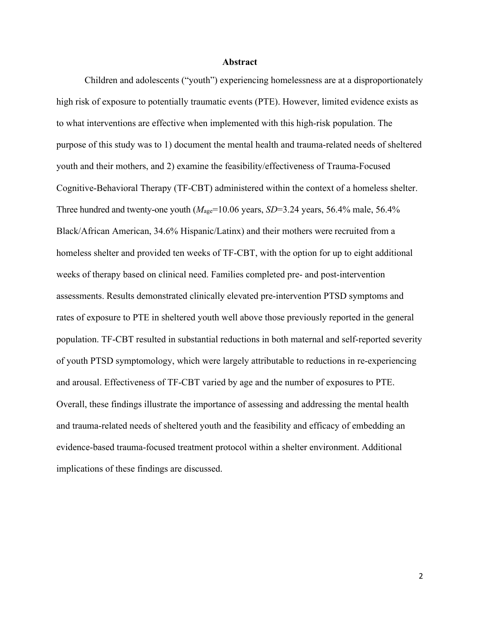#### **Abstract**

Children and adolescents ("youth") experiencing homelessness are at a disproportionately high risk of exposure to potentially traumatic events (PTE). However, limited evidence exists as to what interventions are effective when implemented with this high-risk population. The purpose of this study was to 1) document the mental health and trauma-related needs of sheltered youth and their mothers, and 2) examine the feasibility/effectiveness of Trauma-Focused Cognitive-Behavioral Therapy (TF-CBT) administered within the context of a homeless shelter. Three hundred and twenty-one youth  $(M<sub>age</sub>=10.06$  years,  $SD=3.24$  years, 56.4% male, 56.4% Black/African American, 34.6% Hispanic/Latinx) and their mothers were recruited from a homeless shelter and provided ten weeks of TF-CBT, with the option for up to eight additional weeks of therapy based on clinical need. Families completed pre- and post-intervention assessments. Results demonstrated clinically elevated pre-intervention PTSD symptoms and rates of exposure to PTE in sheltered youth well above those previously reported in the general population. TF-CBT resulted in substantial reductions in both maternal and self-reported severity of youth PTSD symptomology, which were largely attributable to reductions in re-experiencing and arousal. Effectiveness of TF-CBT varied by age and the number of exposures to PTE. Overall, these findings illustrate the importance of assessing and addressing the mental health and trauma-related needs of sheltered youth and the feasibility and efficacy of embedding an evidence-based trauma-focused treatment protocol within a shelter environment. Additional implications of these findings are discussed.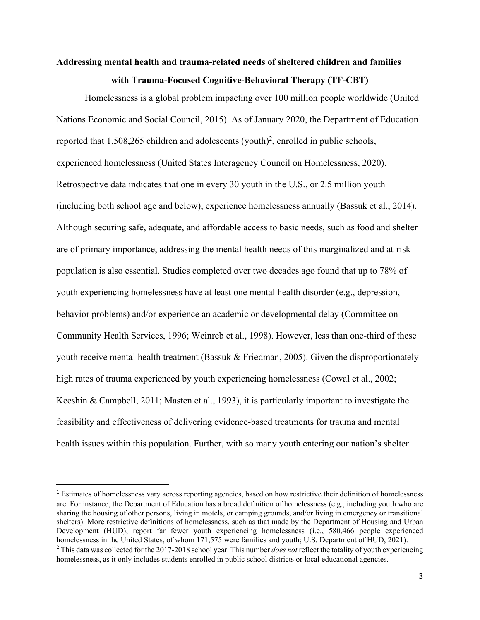# **Addressing mental health and trauma-related needs of sheltered children and families with Trauma-Focused Cognitive-Behavioral Therapy (TF-CBT)**

Homelessness is a global problem impacting over 100 million people worldwide (United Nations Economic and Social Council, 2015). As of January 2020, the Department of Education<sup>1</sup> reported that  $1,508,265$  children and adolescents (youth)<sup>2</sup>, enrolled in public schools, experienced homelessness (United States Interagency Council on Homelessness, 2020). Retrospective data indicates that one in every 30 youth in the U.S., or 2.5 million youth (including both school age and below), experience homelessness annually (Bassuk et al., 2014). Although securing safe, adequate, and affordable access to basic needs, such as food and shelter are of primary importance, addressing the mental health needs of this marginalized and at-risk population is also essential. Studies completed over two decades ago found that up to 78% of youth experiencing homelessness have at least one mental health disorder (e.g., depression, behavior problems) and/or experience an academic or developmental delay (Committee on Community Health Services, 1996; Weinreb et al., 1998). However, less than one-third of these youth receive mental health treatment (Bassuk & Friedman, 2005). Given the disproportionately high rates of trauma experienced by youth experiencing homelessness (Cowal et al., 2002; Keeshin & Campbell, 2011; Masten et al., 1993), it is particularly important to investigate the feasibility and effectiveness of delivering evidence-based treatments for trauma and mental health issues within this population. Further, with so many youth entering our nation's shelter

<sup>&</sup>lt;sup>1</sup> Estimates of homelessness vary across reporting agencies, based on how restrictive their definition of homelessness are. For instance, the Department of Education has a broad definition of homelessness (e.g., including youth who are sharing the housing of other persons, living in motels, or camping grounds, and/or living in emergency or transitional shelters). More restrictive definitions of homelessness, such as that made by the Department of Housing and Urban Development (HUD), report far fewer youth experiencing homelessness (i.e., 580,466 people experienced homelessness in the United States, of whom 171,575 were families and youth; U.S. Department of HUD, 2021).

<sup>&</sup>lt;sup>2</sup> This data was collected for the 2017-2018 school year. This number *does not* reflect the totality of youth experiencing homelessness, as it only includes students enrolled in public school districts or local educational agencies.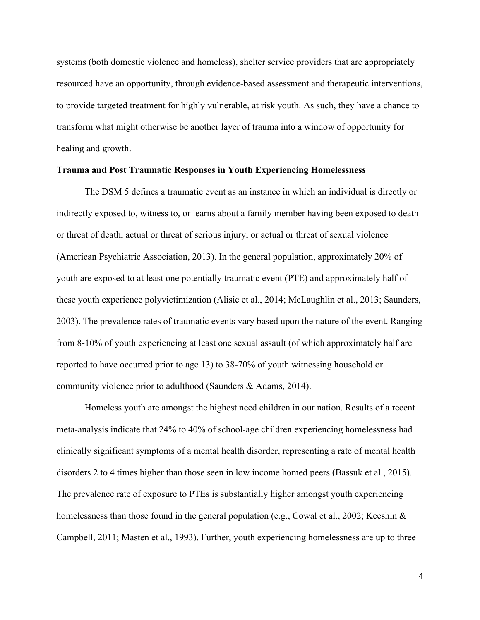systems (both domestic violence and homeless), shelter service providers that are appropriately resourced have an opportunity, through evidence-based assessment and therapeutic interventions, to provide targeted treatment for highly vulnerable, at risk youth. As such, they have a chance to transform what might otherwise be another layer of trauma into a window of opportunity for healing and growth.

### **Trauma and Post Traumatic Responses in Youth Experiencing Homelessness**

The DSM 5 defines a traumatic event as an instance in which an individual is directly or indirectly exposed to, witness to, or learns about a family member having been exposed to death or threat of death, actual or threat of serious injury, or actual or threat of sexual violence (American Psychiatric Association, 2013). In the general population, approximately 20% of youth are exposed to at least one potentially traumatic event (PTE) and approximately half of these youth experience polyvictimization (Alisic et al., 2014; McLaughlin et al., 2013; Saunders, 2003). The prevalence rates of traumatic events vary based upon the nature of the event. Ranging from 8-10% of youth experiencing at least one sexual assault (of which approximately half are reported to have occurred prior to age 13) to 38-70% of youth witnessing household or community violence prior to adulthood (Saunders & Adams, 2014).

Homeless youth are amongst the highest need children in our nation. Results of a recent meta-analysis indicate that 24% to 40% of school-age children experiencing homelessness had clinically significant symptoms of a mental health disorder, representing a rate of mental health disorders 2 to 4 times higher than those seen in low income homed peers (Bassuk et al., 2015). The prevalence rate of exposure to PTEs is substantially higher amongst youth experiencing homelessness than those found in the general population (e.g., Cowal et al., 2002; Keeshin  $\&$ Campbell, 2011; Masten et al., 1993). Further, youth experiencing homelessness are up to three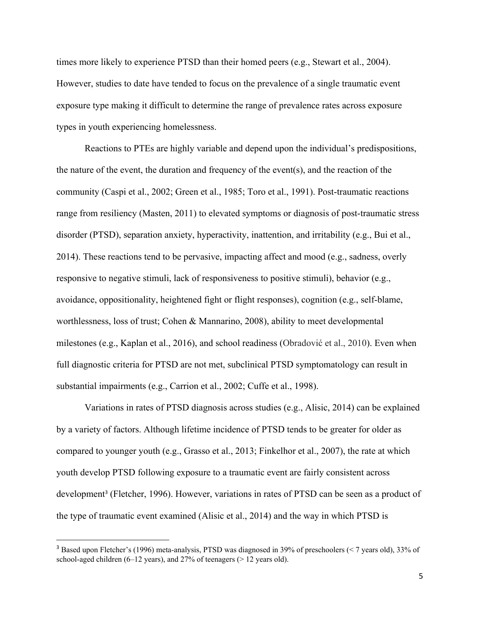times more likely to experience PTSD than their homed peers (e.g., Stewart et al., 2004). However, studies to date have tended to focus on the prevalence of a single traumatic event exposure type making it difficult to determine the range of prevalence rates across exposure types in youth experiencing homelessness.

Reactions to PTEs are highly variable and depend upon the individual's predispositions, the nature of the event, the duration and frequency of the event(s), and the reaction of the community (Caspi et al., 2002; Green et al., 1985; Toro et al., 1991). Post-traumatic reactions range from resiliency (Masten, 2011) to elevated symptoms or diagnosis of post-traumatic stress disorder (PTSD), separation anxiety, hyperactivity, inattention, and irritability (e.g., Bui et al., 2014). These reactions tend to be pervasive, impacting affect and mood (e.g., sadness, overly responsive to negative stimuli, lack of responsiveness to positive stimuli), behavior (e.g., avoidance, oppositionality, heightened fight or flight responses), cognition (e.g., self-blame, worthlessness, loss of trust; Cohen & Mannarino, 2008), ability to meet developmental milestones (e.g., Kaplan et al., 2016), and school readiness (Obradović et al., 2010). Even when full diagnostic criteria for PTSD are not met, subclinical PTSD symptomatology can result in substantial impairments (e.g., Carrion et al., 2002; Cuffe et al., 1998).

Variations in rates of PTSD diagnosis across studies (e.g., Alisic, 2014) can be explained by a variety of factors. Although lifetime incidence of PTSD tends to be greater for older as compared to younger youth (e.g., Grasso et al., 2013; Finkelhor et al., 2007), the rate at which youth develop PTSD following exposure to a traumatic event are fairly consistent across development<sup>3</sup> (Fletcher, 1996). However, variations in rates of PTSD can be seen as a product of the type of traumatic event examined (Alisic et al., 2014) and the way in which PTSD is

<sup>&</sup>lt;sup>3</sup> Based upon Fletcher's (1996) meta-analysis, PTSD was diagnosed in 39% of preschoolers (< 7 years old), 33% of school-aged children (6–12 years), and 27% of teenagers (> 12 years old).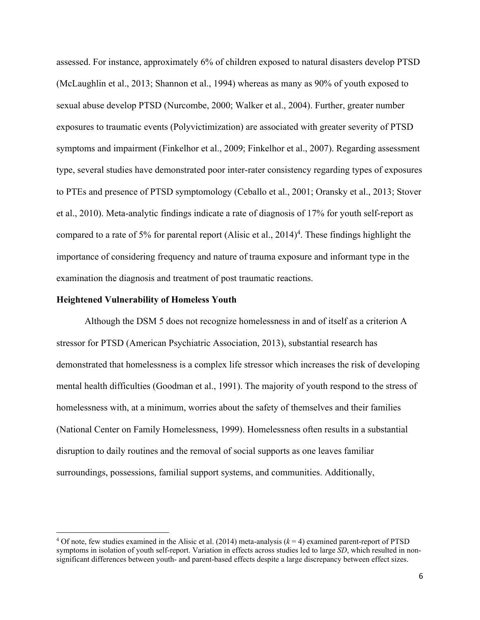assessed. For instance, approximately 6% of children exposed to natural disasters develop PTSD (McLaughlin et al., 2013; Shannon et al., 1994) whereas as many as 90% of youth exposed to sexual abuse develop PTSD (Nurcombe, 2000; Walker et al., 2004). Further, greater number exposures to traumatic events (Polyvictimization) are associated with greater severity of PTSD symptoms and impairment (Finkelhor et al., 2009; Finkelhor et al., 2007). Regarding assessment type, several studies have demonstrated poor inter-rater consistency regarding types of exposures to PTEs and presence of PTSD symptomology (Ceballo et al., 2001; Oransky et al., 2013; Stover et al., 2010). Meta-analytic findings indicate a rate of diagnosis of 17% for youth self-report as compared to a rate of 5% for parental report (Alisic et al.,  $2014$ <sup>4</sup>. These findings highlight the importance of considering frequency and nature of trauma exposure and informant type in the examination the diagnosis and treatment of post traumatic reactions.

# **Heightened Vulnerability of Homeless Youth**

Although the DSM 5 does not recognize homelessness in and of itself as a criterion A stressor for PTSD (American Psychiatric Association, 2013), substantial research has demonstrated that homelessness is a complex life stressor which increases the risk of developing mental health difficulties (Goodman et al., 1991). The majority of youth respond to the stress of homelessness with, at a minimum, worries about the safety of themselves and their families (National Center on Family Homelessness, 1999). Homelessness often results in a substantial disruption to daily routines and the removal of social supports as one leaves familiar surroundings, possessions, familial support systems, and communities. Additionally,

 $4$  Of note, few studies examined in the Alisic et al. (2014) meta-analysis  $(k = 4)$  examined parent-report of PTSD symptoms in isolation of youth self-report. Variation in effects across studies led to large *SD*, which resulted in nonsignificant differences between youth- and parent-based effects despite a large discrepancy between effect sizes.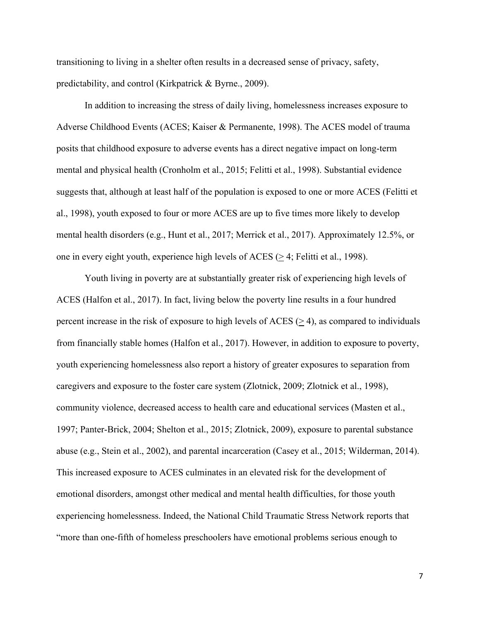transitioning to living in a shelter often results in a decreased sense of privacy, safety, predictability, and control (Kirkpatrick & Byrne., 2009).

In addition to increasing the stress of daily living, homelessness increases exposure to Adverse Childhood Events (ACES; Kaiser & Permanente, 1998). The ACES model of trauma posits that childhood exposure to adverse events has a direct negative impact on long-term mental and physical health (Cronholm et al., 2015; Felitti et al., 1998). Substantial evidence suggests that, although at least half of the population is exposed to one or more ACES (Felitti et al., 1998), youth exposed to four or more ACES are up to five times more likely to develop mental health disorders (e.g., Hunt et al., 2017; Merrick et al., 2017). Approximately 12.5%, or one in every eight youth, experience high levels of ACES (> 4; Felitti et al., 1998).

Youth living in poverty are at substantially greater risk of experiencing high levels of ACES (Halfon et al., 2017). In fact, living below the poverty line results in a four hundred percent increase in the risk of exposure to high levels of  $ACES$  ( $>$ 4), as compared to individuals from financially stable homes (Halfon et al., 2017). However, in addition to exposure to poverty, youth experiencing homelessness also report a history of greater exposures to separation from caregivers and exposure to the foster care system (Zlotnick, 2009; Zlotnick et al., 1998), community violence, decreased access to health care and educational services (Masten et al., 1997; Panter-Brick, 2004; Shelton et al., 2015; Zlotnick, 2009), exposure to parental substance abuse (e.g., Stein et al., 2002), and parental incarceration (Casey et al., 2015; Wilderman, 2014). This increased exposure to ACES culminates in an elevated risk for the development of emotional disorders, amongst other medical and mental health difficulties, for those youth experiencing homelessness. Indeed, the National Child Traumatic Stress Network reports that "more than one-fifth of homeless preschoolers have emotional problems serious enough to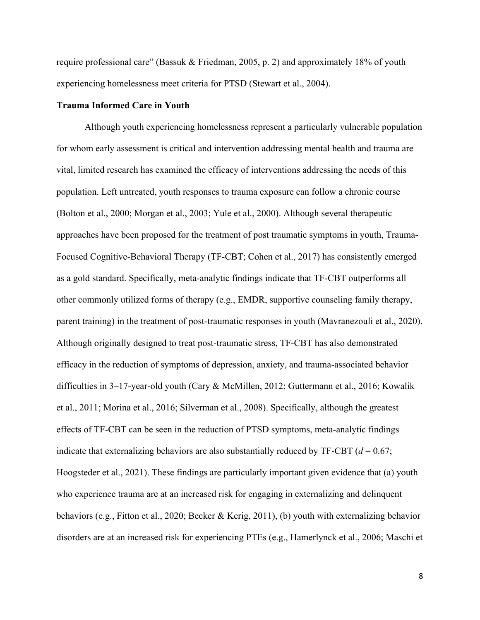require professional care" (Bassuk & Friedman, 2005, p. 2) and approximately 18% of youth experiencing homelessness meet criteria for PTSD (Stewart et al., 2004).

### **Trauma Informed Care in Youth**

Although youth experiencing homelessness represent a particularly vulnerable population for whom early assessment is critical and intervention addressing mental health and trauma are vital, limited research has examined the efficacy of interventions addressing the needs of this population. Left untreated, youth responses to trauma exposure can follow a chronic course (Bolton et al., 2000; Morgan et al., 2003; Yule et al., 2000). Although several therapeutic approaches have been proposed for the treatment of post traumatic symptoms in youth, Trauma-Focused Cognitive-Behavioral Therapy (TF-CBT; Cohen et al., 2017) has consistently emerged as a gold standard. Specifically, meta-analytic findings indicate that TF-CBT outperforms all other commonly utilized forms of therapy (e.g., EMDR, supportive counseling family therapy, parent training) in the treatment of post-traumatic responses in youth (Mavranezouli et al., 2020). Although originally designed to treat post-traumatic stress, TF-CBT has also demonstrated efficacy in the reduction of symptoms of depression, anxiety, and trauma-associated behavior difficulties in 3–17-year-old youth (Cary & McMillen, 2012; Guttermann et al., 2016; Kowalik et al., 2011; Morina et al., 2016; Silverman et al., 2008). Specifically, although the greatest effects of TF-CBT can be seen in the reduction of PTSD symptoms, meta-analytic findings indicate that externalizing behaviors are also substantially reduced by  $TF-CBT$  ( $d = 0.67$ ; Hoogsteder et al., 2021). These findings are particularly important given evidence that (a) youth who experience trauma are at an increased risk for engaging in externalizing and delinquent behaviors (e.g., Fitton et al., 2020; Becker & Kerig, 2011), (b) youth with externalizing behavior disorders are at an increased risk for experiencing PTEs (e.g., Hamerlynck et al., 2006; Maschi et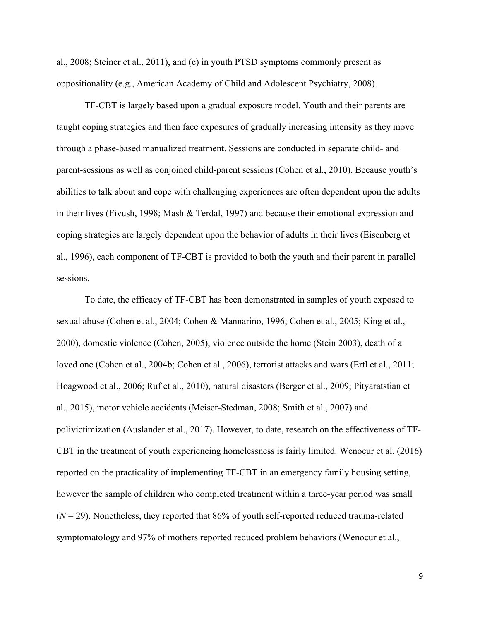al., 2008; Steiner et al., 2011), and (c) in youth PTSD symptoms commonly present as oppositionality (e.g., American Academy of Child and Adolescent Psychiatry, 2008).

TF-CBT is largely based upon a gradual exposure model. Youth and their parents are taught coping strategies and then face exposures of gradually increasing intensity as they move through a phase-based manualized treatment. Sessions are conducted in separate child- and parent-sessions as well as conjoined child-parent sessions (Cohen et al., 2010). Because youth's abilities to talk about and cope with challenging experiences are often dependent upon the adults in their lives (Fivush, 1998; Mash & Terdal, 1997) and because their emotional expression and coping strategies are largely dependent upon the behavior of adults in their lives (Eisenberg et al., 1996), each component of TF-CBT is provided to both the youth and their parent in parallel sessions.

To date, the efficacy of TF-CBT has been demonstrated in samples of youth exposed to sexual abuse (Cohen et al., 2004; Cohen & Mannarino, 1996; Cohen et al., 2005; King et al., 2000), domestic violence (Cohen, 2005), violence outside the home (Stein 2003), death of a loved one (Cohen et al., 2004b; Cohen et al., 2006), terrorist attacks and wars (Ertl et al., 2011; Hoagwood et al., 2006; Ruf et al., 2010), natural disasters (Berger et al., 2009; Pityaratstian et al., 2015), motor vehicle accidents (Meiser-Stedman, 2008; Smith et al., 2007) and polivictimization (Auslander et al., 2017). However, to date, research on the effectiveness of TF-CBT in the treatment of youth experiencing homelessness is fairly limited. Wenocur et al. (2016) reported on the practicality of implementing TF-CBT in an emergency family housing setting, however the sample of children who completed treatment within a three-year period was small  $(N = 29)$ . Nonetheless, they reported that 86% of youth self-reported reduced trauma-related symptomatology and 97% of mothers reported reduced problem behaviors (Wenocur et al.,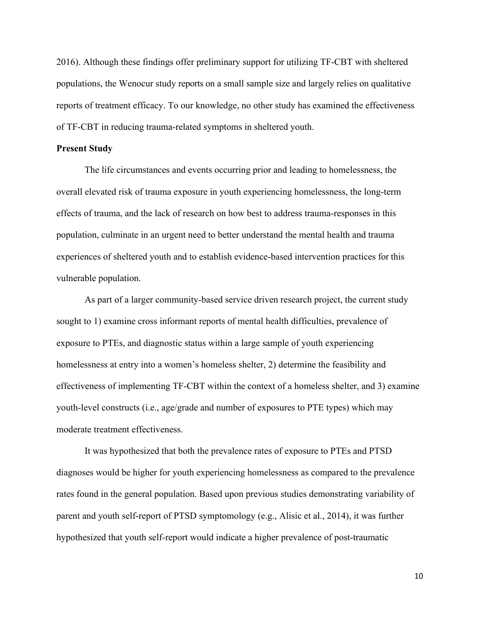2016). Although these findings offer preliminary support for utilizing TF-CBT with sheltered populations, the Wenocur study reports on a small sample size and largely relies on qualitative reports of treatment efficacy. To our knowledge, no other study has examined the effectiveness of TF-CBT in reducing trauma-related symptoms in sheltered youth.

#### **Present Study**

 The life circumstances and events occurring prior and leading to homelessness, the overall elevated risk of trauma exposure in youth experiencing homelessness, the long-term effects of trauma, and the lack of research on how best to address trauma-responses in this population, culminate in an urgent need to better understand the mental health and trauma experiences of sheltered youth and to establish evidence-based intervention practices for this vulnerable population.

As part of a larger community-based service driven research project, the current study sought to 1) examine cross informant reports of mental health difficulties, prevalence of exposure to PTEs, and diagnostic status within a large sample of youth experiencing homelessness at entry into a women's homeless shelter, 2) determine the feasibility and effectiveness of implementing TF-CBT within the context of a homeless shelter, and 3) examine youth-level constructs (i.e., age/grade and number of exposures to PTE types) which may moderate treatment effectiveness.

It was hypothesized that both the prevalence rates of exposure to PTEs and PTSD diagnoses would be higher for youth experiencing homelessness as compared to the prevalence rates found in the general population. Based upon previous studies demonstrating variability of parent and youth self-report of PTSD symptomology (e.g., Alisic et al., 2014), it was further hypothesized that youth self-report would indicate a higher prevalence of post-traumatic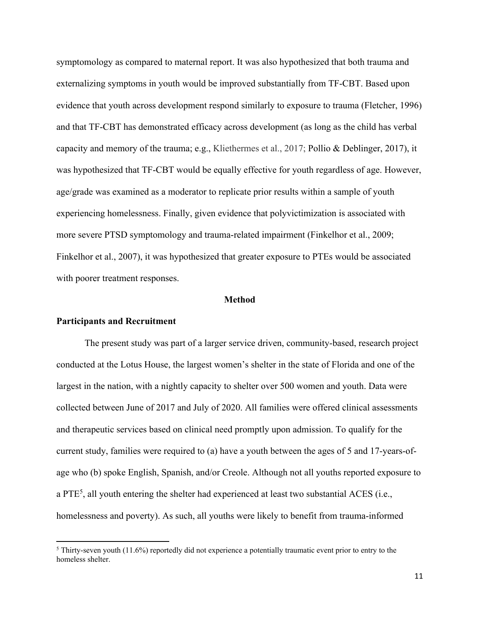symptomology as compared to maternal report. It was also hypothesized that both trauma and externalizing symptoms in youth would be improved substantially from TF-CBT. Based upon evidence that youth across development respond similarly to exposure to trauma (Fletcher, 1996) and that TF-CBT has demonstrated efficacy across development (as long as the child has verbal capacity and memory of the trauma; e.g., Kliethermes et al., 2017; Pollio & Deblinger, 2017), it was hypothesized that TF-CBT would be equally effective for youth regardless of age. However, age/grade was examined as a moderator to replicate prior results within a sample of youth experiencing homelessness. Finally, given evidence that polyvictimization is associated with more severe PTSD symptomology and trauma-related impairment (Finkelhor et al., 2009; Finkelhor et al., 2007), it was hypothesized that greater exposure to PTEs would be associated with poorer treatment responses.

#### **Method**

#### **Participants and Recruitment**

 The present study was part of a larger service driven, community-based, research project conducted at the Lotus House, the largest women's shelter in the state of Florida and one of the largest in the nation, with a nightly capacity to shelter over 500 women and youth. Data were collected between June of 2017 and July of 2020. All families were offered clinical assessments and therapeutic services based on clinical need promptly upon admission. To qualify for the current study, families were required to (a) have a youth between the ages of 5 and 17-years-ofage who (b) spoke English, Spanish, and/or Creole. Although not all youths reported exposure to a PTE<sup>5</sup>, all youth entering the shelter had experienced at least two substantial ACES (i.e., homelessness and poverty). As such, all youths were likely to benefit from trauma-informed

 $5$  Thirty-seven youth (11.6%) reportedly did not experience a potentially traumatic event prior to entry to the homeless shelter.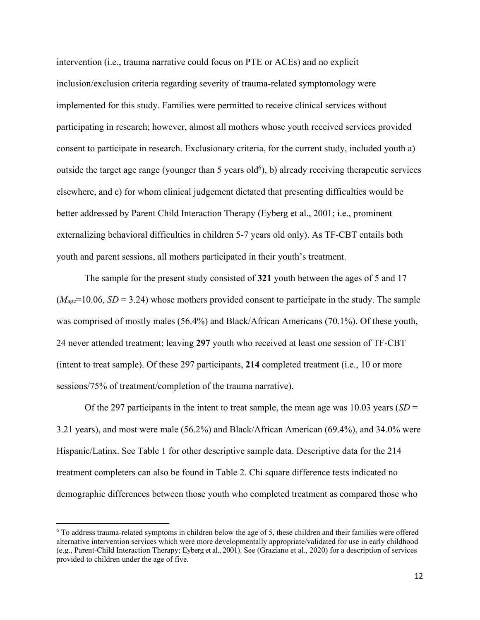intervention (i.e., trauma narrative could focus on PTE or ACEs) and no explicit inclusion/exclusion criteria regarding severity of trauma-related symptomology were implemented for this study. Families were permitted to receive clinical services without participating in research; however, almost all mothers whose youth received services provided consent to participate in research. Exclusionary criteria, for the current study, included youth a) outside the target age range (younger than 5 years old<sup>6</sup>), b) already receiving therapeutic services elsewhere, and c) for whom clinical judgement dictated that presenting difficulties would be better addressed by Parent Child Interaction Therapy (Eyberg et al., 2001; i.e., prominent externalizing behavioral difficulties in children 5-7 years old only). As TF-CBT entails both youth and parent sessions, all mothers participated in their youth's treatment.

The sample for the present study consisted of **321** youth between the ages of 5 and 17  $(M<sub>age</sub>=10.06, SD = 3.24)$  whose mothers provided consent to participate in the study. The sample was comprised of mostly males (56.4%) and Black/African Americans (70.1%). Of these youth, 24 never attended treatment; leaving **297** youth who received at least one session of TF-CBT (intent to treat sample). Of these 297 participants, **214** completed treatment (i.e., 10 or more sessions/75% of treatment/completion of the trauma narrative).

Of the 297 participants in the intent to treat sample, the mean age was 10.03 years (*SD* = 3.21 years), and most were male (56.2%) and Black/African American (69.4%), and 34.0% were Hispanic/Latinx. See Table 1 for other descriptive sample data. Descriptive data for the 214 treatment completers can also be found in Table 2. Chi square difference tests indicated no demographic differences between those youth who completed treatment as compared those who

<sup>6</sup> To address trauma-related symptoms in children below the age of 5, these children and their families were offered alternative intervention services which were more developmentally appropriate/validated for use in early childhood (e.g., Parent-Child Interaction Therapy; Eyberg et al., 2001). See (Graziano et al., 2020) for a description of services provided to children under the age of five.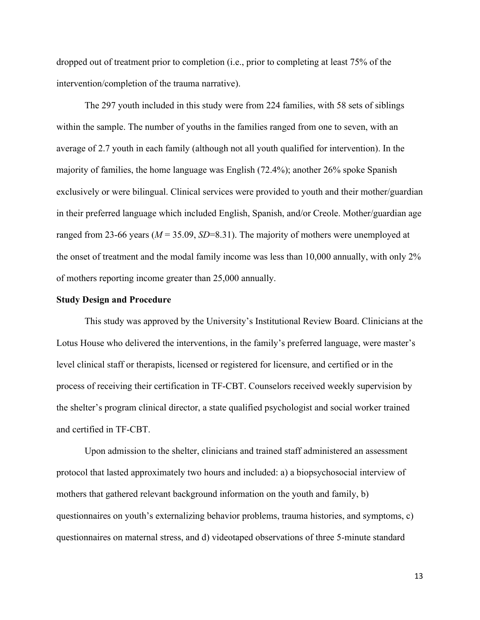dropped out of treatment prior to completion (i.e., prior to completing at least 75% of the intervention/completion of the trauma narrative).

The 297 youth included in this study were from 224 families, with 58 sets of siblings within the sample. The number of youths in the families ranged from one to seven, with an average of 2.7 youth in each family (although not all youth qualified for intervention). In the majority of families, the home language was English (72.4%); another 26% spoke Spanish exclusively or were bilingual. Clinical services were provided to youth and their mother/guardian in their preferred language which included English, Spanish, and/or Creole. Mother/guardian age ranged from 23-66 years ( $M = 35.09$ ,  $SD = 8.31$ ). The majority of mothers were unemployed at the onset of treatment and the modal family income was less than 10,000 annually, with only 2% of mothers reporting income greater than 25,000 annually.

#### **Study Design and Procedure**

This study was approved by the University's Institutional Review Board. Clinicians at the Lotus House who delivered the interventions, in the family's preferred language, were master's level clinical staff or therapists, licensed or registered for licensure, and certified or in the process of receiving their certification in TF-CBT. Counselors received weekly supervision by the shelter's program clinical director, a state qualified psychologist and social worker trained and certified in TF-CBT.

Upon admission to the shelter, clinicians and trained staff administered an assessment protocol that lasted approximately two hours and included: a) a biopsychosocial interview of mothers that gathered relevant background information on the youth and family, b) questionnaires on youth's externalizing behavior problems, trauma histories, and symptoms, c) questionnaires on maternal stress, and d) videotaped observations of three 5-minute standard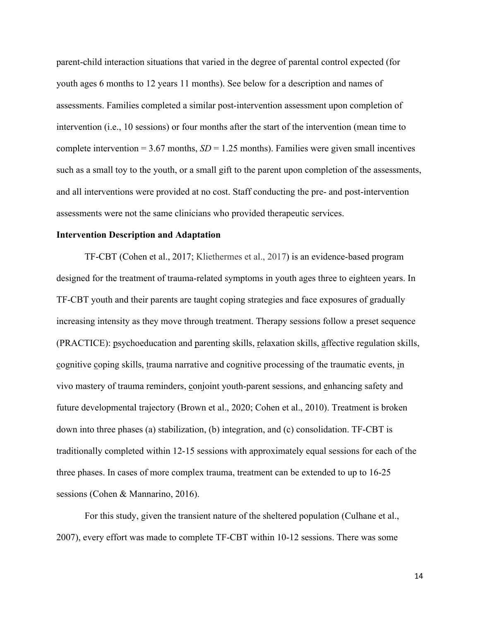parent-child interaction situations that varied in the degree of parental control expected (for youth ages 6 months to 12 years 11 months). See below for a description and names of assessments. Families completed a similar post-intervention assessment upon completion of intervention (i.e., 10 sessions) or four months after the start of the intervention (mean time to complete intervention  $= 3.67$  months,  $SD = 1.25$  months). Families were given small incentives such as a small toy to the youth, or a small gift to the parent upon completion of the assessments, and all interventions were provided at no cost. Staff conducting the pre- and post-intervention assessments were not the same clinicians who provided therapeutic services.

#### **Intervention Description and Adaptation**

TF-CBT (Cohen et al., 2017; Kliethermes et al., 2017) is an evidence-based program designed for the treatment of trauma-related symptoms in youth ages three to eighteen years. In TF-CBT youth and their parents are taught coping strategies and face exposures of gradually increasing intensity as they move through treatment. Therapy sessions follow a preset sequence (PRACTICE): psychoeducation and parenting skills, relaxation skills, affective regulation skills, cognitive coping skills, trauma narrative and cognitive processing of the traumatic events, in vivo mastery of trauma reminders, conjoint youth-parent sessions, and enhancing safety and future developmental trajectory (Brown et al., 2020; Cohen et al., 2010). Treatment is broken down into three phases (a) stabilization, (b) integration, and (c) consolidation. TF-CBT is traditionally completed within 12-15 sessions with approximately equal sessions for each of the three phases. In cases of more complex trauma, treatment can be extended to up to 16-25 sessions (Cohen & Mannarino, 2016).

For this study, given the transient nature of the sheltered population (Culhane et al., 2007), every effort was made to complete TF-CBT within 10-12 sessions. There was some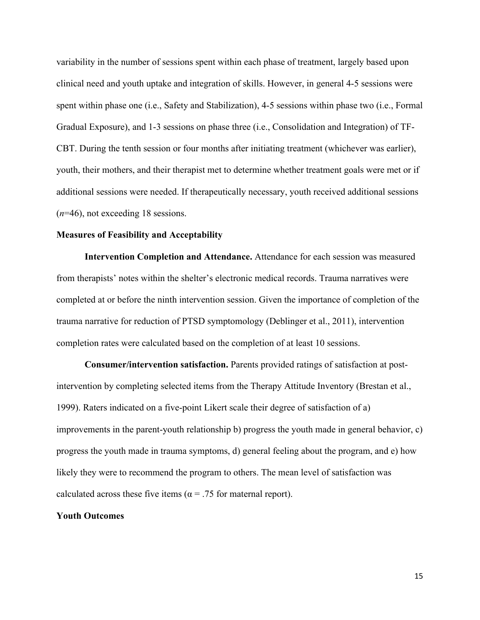variability in the number of sessions spent within each phase of treatment, largely based upon clinical need and youth uptake and integration of skills. However, in general 4-5 sessions were spent within phase one (i.e., Safety and Stabilization), 4-5 sessions within phase two (i.e., Formal Gradual Exposure), and 1-3 sessions on phase three (i.e., Consolidation and Integration) of TF-CBT. During the tenth session or four months after initiating treatment (whichever was earlier), youth, their mothers, and their therapist met to determine whether treatment goals were met or if additional sessions were needed. If therapeutically necessary, youth received additional sessions (*n*=46), not exceeding 18 sessions.

# **Measures of Feasibility and Acceptability**

 **Intervention Completion and Attendance.** Attendance for each session was measured from therapists' notes within the shelter's electronic medical records. Trauma narratives were completed at or before the ninth intervention session. Given the importance of completion of the trauma narrative for reduction of PTSD symptomology (Deblinger et al., 2011), intervention completion rates were calculated based on the completion of at least 10 sessions.

**Consumer/intervention satisfaction.** Parents provided ratings of satisfaction at postintervention by completing selected items from the Therapy Attitude Inventory (Brestan et al., 1999). Raters indicated on a five-point Likert scale their degree of satisfaction of a) improvements in the parent-youth relationship b) progress the youth made in general behavior, c) progress the youth made in trauma symptoms, d) general feeling about the program, and e) how likely they were to recommend the program to others. The mean level of satisfaction was calculated across these five items ( $\alpha$  = .75 for maternal report).

## **Youth Outcomes**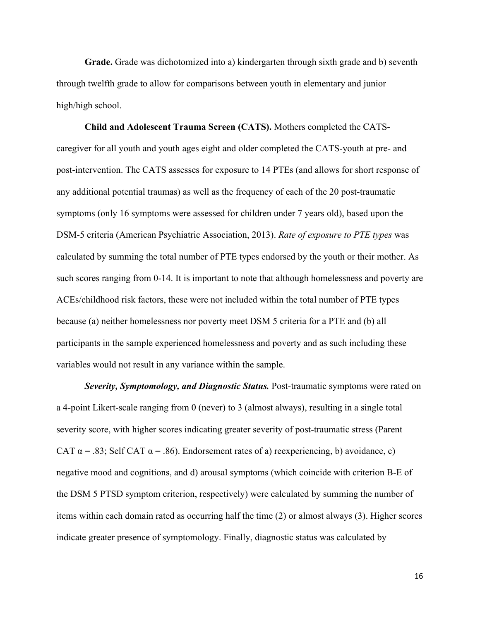**Grade.** Grade was dichotomized into a) kindergarten through sixth grade and b) seventh through twelfth grade to allow for comparisons between youth in elementary and junior high/high school.

**Child and Adolescent Trauma Screen (CATS).** Mothers completed the CATScaregiver for all youth and youth ages eight and older completed the CATS-youth at pre- and post-intervention. The CATS assesses for exposure to 14 PTEs (and allows for short response of any additional potential traumas) as well as the frequency of each of the 20 post-traumatic symptoms (only 16 symptoms were assessed for children under 7 years old), based upon the DSM-5 criteria (American Psychiatric Association, 2013). *Rate of exposure to PTE types* was calculated by summing the total number of PTE types endorsed by the youth or their mother. As such scores ranging from 0-14. It is important to note that although homelessness and poverty are ACEs/childhood risk factors, these were not included within the total number of PTE types because (a) neither homelessness nor poverty meet DSM 5 criteria for a PTE and (b) all participants in the sample experienced homelessness and poverty and as such including these variables would not result in any variance within the sample.

*Severity, Symptomology, and Diagnostic Status.* Post-traumatic symptoms were rated on a 4-point Likert-scale ranging from 0 (never) to 3 (almost always), resulting in a single total severity score, with higher scores indicating greater severity of post-traumatic stress (Parent CAT  $\alpha$  = .83; Self CAT  $\alpha$  = .86). Endorsement rates of a) reexperiencing, b) avoidance, c) negative mood and cognitions, and d) arousal symptoms (which coincide with criterion B-E of the DSM 5 PTSD symptom criterion, respectively) were calculated by summing the number of items within each domain rated as occurring half the time (2) or almost always (3). Higher scores indicate greater presence of symptomology. Finally, diagnostic status was calculated by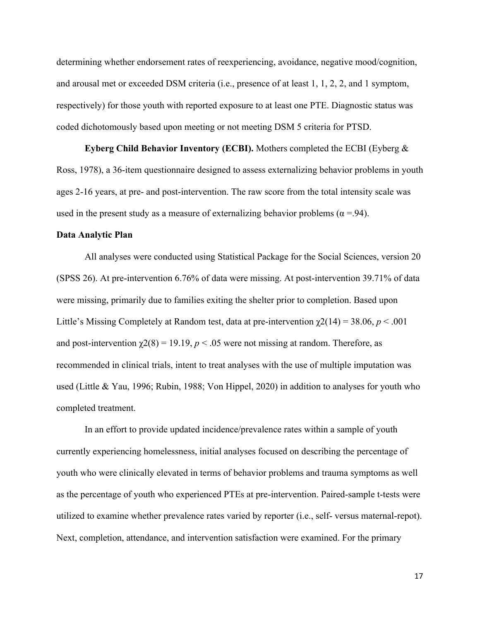determining whether endorsement rates of reexperiencing, avoidance, negative mood/cognition, and arousal met or exceeded DSM criteria (i.e., presence of at least 1, 1, 2, 2, and 1 symptom, respectively) for those youth with reported exposure to at least one PTE. Diagnostic status was coded dichotomously based upon meeting or not meeting DSM 5 criteria for PTSD.

 **Eyberg Child Behavior Inventory (ECBI).** Mothers completed the ECBI (Eyberg & Ross, 1978), a 36-item questionnaire designed to assess externalizing behavior problems in youth ages 2-16 years, at pre- and post-intervention. The raw score from the total intensity scale was used in the present study as a measure of externalizing behavior problems ( $\alpha = .94$ ).

#### **Data Analytic Plan**

 All analyses were conducted using Statistical Package for the Social Sciences, version 20 (SPSS 26). At pre-intervention 6.76% of data were missing. At post-intervention 39.71% of data were missing, primarily due to families exiting the shelter prior to completion. Based upon Little's Missing Completely at Random test, data at pre-intervention  $\chi$ 2(14) = 38.06, *p* < .001 and post-intervention  $\chi^2(8) = 19.19$ ,  $p < .05$  were not missing at random. Therefore, as recommended in clinical trials, intent to treat analyses with the use of multiple imputation was used (Little & Yau, 1996; Rubin, 1988; Von Hippel, 2020) in addition to analyses for youth who completed treatment.

 In an effort to provide updated incidence/prevalence rates within a sample of youth currently experiencing homelessness, initial analyses focused on describing the percentage of youth who were clinically elevated in terms of behavior problems and trauma symptoms as well as the percentage of youth who experienced PTEs at pre-intervention. Paired-sample t-tests were utilized to examine whether prevalence rates varied by reporter (i.e., self- versus maternal-repot). Next, completion, attendance, and intervention satisfaction were examined. For the primary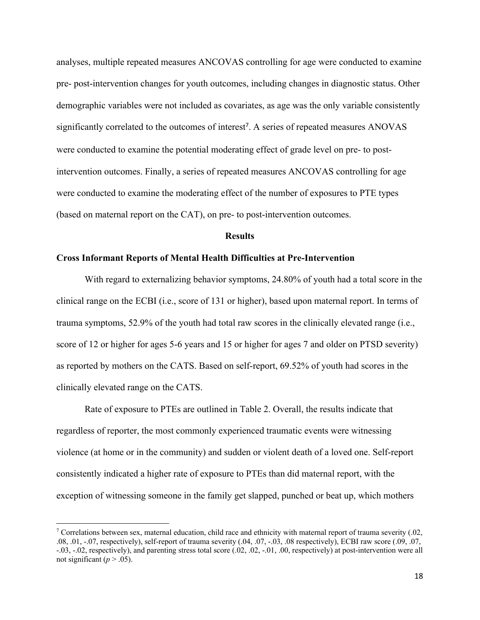analyses, multiple repeated measures ANCOVAS controlling for age were conducted to examine pre- post-intervention changes for youth outcomes, including changes in diagnostic status. Other demographic variables were not included as covariates, as age was the only variable consistently significantly correlated to the outcomes of interest<sup>7</sup>. A series of repeated measures ANOVAS were conducted to examine the potential moderating effect of grade level on pre- to postintervention outcomes. Finally, a series of repeated measures ANCOVAS controlling for age were conducted to examine the moderating effect of the number of exposures to PTE types (based on maternal report on the CAT), on pre- to post-intervention outcomes.

### **Results**

# **Cross Informant Reports of Mental Health Difficulties at Pre-Intervention**

 With regard to externalizing behavior symptoms, 24.80% of youth had a total score in the clinical range on the ECBI (i.e., score of 131 or higher), based upon maternal report. In terms of trauma symptoms, 52.9% of the youth had total raw scores in the clinically elevated range (i.e., score of 12 or higher for ages 5-6 years and 15 or higher for ages 7 and older on PTSD severity) as reported by mothers on the CATS. Based on self-report, 69.52% of youth had scores in the clinically elevated range on the CATS.

 Rate of exposure to PTEs are outlined in Table 2. Overall, the results indicate that regardless of reporter, the most commonly experienced traumatic events were witnessing violence (at home or in the community) and sudden or violent death of a loved one. Self-report consistently indicated a higher rate of exposure to PTEs than did maternal report, with the exception of witnessing someone in the family get slapped, punched or beat up, which mothers

<sup>&</sup>lt;sup>7</sup> Correlations between sex, maternal education, child race and ethnicity with maternal report of trauma severity  $(.02,$ .08, .01, -.07, respectively), self-report of trauma severity (.04, .07, -.03, .08 respectively), ECBI raw score (.09, .07, -.03, -.02, respectively), and parenting stress total score (.02, .02, -.01, .00, respectively) at post-intervention were all not significant ( $p > .05$ ).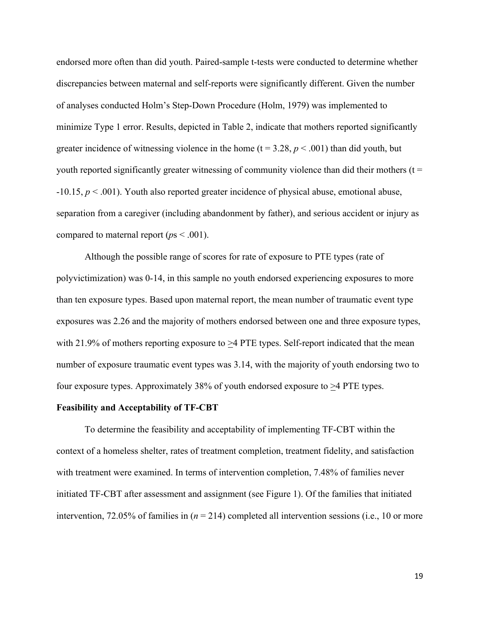endorsed more often than did youth. Paired-sample t-tests were conducted to determine whether discrepancies between maternal and self-reports were significantly different. Given the number of analyses conducted Holm's Step-Down Procedure (Holm, 1979) was implemented to minimize Type 1 error. Results, depicted in Table 2, indicate that mothers reported significantly greater incidence of witnessing violence in the home  $(t = 3.28, p < .001)$  than did youth, but youth reported significantly greater witnessing of community violence than did their mothers  $(t =$ -10.15, *p* < .001). Youth also reported greater incidence of physical abuse, emotional abuse, separation from a caregiver (including abandonment by father), and serious accident or injury as compared to maternal report (*p*s < .001).

 Although the possible range of scores for rate of exposure to PTE types (rate of polyvictimization) was 0-14, in this sample no youth endorsed experiencing exposures to more than ten exposure types. Based upon maternal report, the mean number of traumatic event type exposures was 2.26 and the majority of mothers endorsed between one and three exposure types, with 21.9% of mothers reporting exposure to  $\geq$ 4 PTE types. Self-report indicated that the mean number of exposure traumatic event types was 3.14, with the majority of youth endorsing two to four exposure types. Approximately 38% of youth endorsed exposure to  $\geq$ 4 PTE types.

#### **Feasibility and Acceptability of TF-CBT**

To determine the feasibility and acceptability of implementing TF-CBT within the context of a homeless shelter, rates of treatment completion, treatment fidelity, and satisfaction with treatment were examined. In terms of intervention completion, 7.48% of families never initiated TF-CBT after assessment and assignment (see Figure 1). Of the families that initiated intervention, 72.05% of families in (*n* = 214) completed all intervention sessions (i.e., 10 or more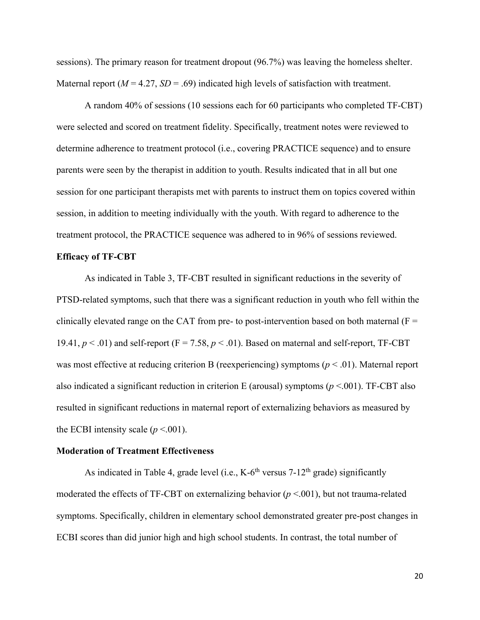sessions). The primary reason for treatment dropout (96.7%) was leaving the homeless shelter. Maternal report ( $M = 4.27$ ,  $SD = .69$ ) indicated high levels of satisfaction with treatment.

 A random 40% of sessions (10 sessions each for 60 participants who completed TF-CBT) were selected and scored on treatment fidelity. Specifically, treatment notes were reviewed to determine adherence to treatment protocol (i.e., covering PRACTICE sequence) and to ensure parents were seen by the therapist in addition to youth. Results indicated that in all but one session for one participant therapists met with parents to instruct them on topics covered within session, in addition to meeting individually with the youth. With regard to adherence to the treatment protocol, the PRACTICE sequence was adhered to in 96% of sessions reviewed.

#### **Efficacy of TF-CBT**

 As indicated in Table 3, TF-CBT resulted in significant reductions in the severity of PTSD-related symptoms, such that there was a significant reduction in youth who fell within the clinically elevated range on the CAT from pre- to post-intervention based on both maternal  $(F =$ 19.41,  $p < .01$ ) and self-report ( $F = 7.58$ ,  $p < .01$ ). Based on maternal and self-report, TF-CBT was most effective at reducing criterion B (reexperiencing) symptoms (*p* < .01). Maternal report also indicated a significant reduction in criterion E (arousal) symptoms (*p* <.001). TF-CBT also resulted in significant reductions in maternal report of externalizing behaviors as measured by the ECBI intensity scale  $(p < .001)$ .

#### **Moderation of Treatment Effectiveness**

As indicated in Table 4, grade level (i.e.,  $K-6<sup>th</sup>$  versus 7-12<sup>th</sup> grade) significantly moderated the effects of TF-CBT on externalizing behavior (*p* <.001), but not trauma-related symptoms. Specifically, children in elementary school demonstrated greater pre-post changes in ECBI scores than did junior high and high school students. In contrast, the total number of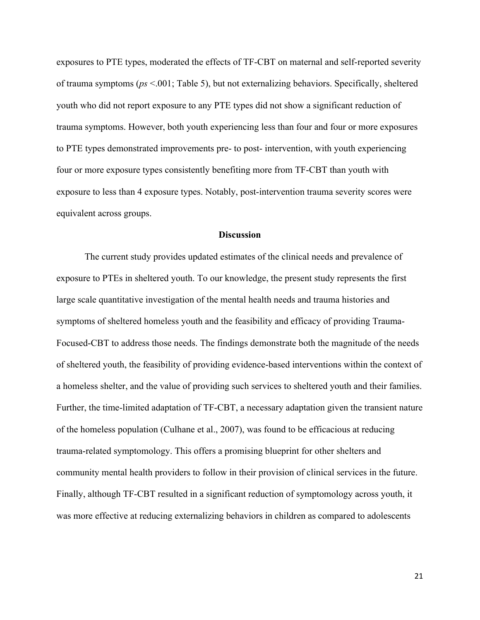exposures to PTE types, moderated the effects of TF-CBT on maternal and self-reported severity of trauma symptoms (*ps* <.001; Table 5), but not externalizing behaviors. Specifically, sheltered youth who did not report exposure to any PTE types did not show a significant reduction of trauma symptoms. However, both youth experiencing less than four and four or more exposures to PTE types demonstrated improvements pre- to post- intervention, with youth experiencing four or more exposure types consistently benefiting more from TF-CBT than youth with exposure to less than 4 exposure types. Notably, post-intervention trauma severity scores were equivalent across groups.

#### **Discussion**

 The current study provides updated estimates of the clinical needs and prevalence of exposure to PTEs in sheltered youth. To our knowledge, the present study represents the first large scale quantitative investigation of the mental health needs and trauma histories and symptoms of sheltered homeless youth and the feasibility and efficacy of providing Trauma-Focused-CBT to address those needs. The findings demonstrate both the magnitude of the needs of sheltered youth, the feasibility of providing evidence-based interventions within the context of a homeless shelter, and the value of providing such services to sheltered youth and their families. Further, the time-limited adaptation of TF-CBT, a necessary adaptation given the transient nature of the homeless population (Culhane et al., 2007), was found to be efficacious at reducing trauma-related symptomology. This offers a promising blueprint for other shelters and community mental health providers to follow in their provision of clinical services in the future. Finally, although TF-CBT resulted in a significant reduction of symptomology across youth, it was more effective at reducing externalizing behaviors in children as compared to adolescents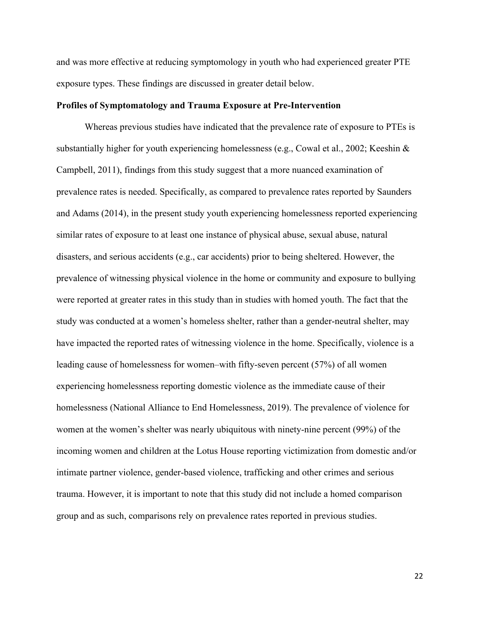and was more effective at reducing symptomology in youth who had experienced greater PTE exposure types. These findings are discussed in greater detail below.

#### **Profiles of Symptomatology and Trauma Exposure at Pre-Intervention**

Whereas previous studies have indicated that the prevalence rate of exposure to PTEs is substantially higher for youth experiencing homelessness (e.g., Cowal et al., 2002; Keeshin  $\&$ Campbell, 2011), findings from this study suggest that a more nuanced examination of prevalence rates is needed. Specifically, as compared to prevalence rates reported by Saunders and Adams (2014), in the present study youth experiencing homelessness reported experiencing similar rates of exposure to at least one instance of physical abuse, sexual abuse, natural disasters, and serious accidents (e.g., car accidents) prior to being sheltered. However, the prevalence of witnessing physical violence in the home or community and exposure to bullying were reported at greater rates in this study than in studies with homed youth. The fact that the study was conducted at a women's homeless shelter, rather than a gender-neutral shelter, may have impacted the reported rates of witnessing violence in the home. Specifically, violence is a leading cause of homelessness for women–with fifty-seven percent (57%) of all women experiencing homelessness reporting domestic violence as the immediate cause of their homelessness (National Alliance to End Homelessness, 2019). The prevalence of violence for women at the women's shelter was nearly ubiquitous with ninety-nine percent (99%) of the incoming women and children at the Lotus House reporting victimization from domestic and/or intimate partner violence, gender-based violence, trafficking and other crimes and serious trauma. However, it is important to note that this study did not include a homed comparison group and as such, comparisons rely on prevalence rates reported in previous studies.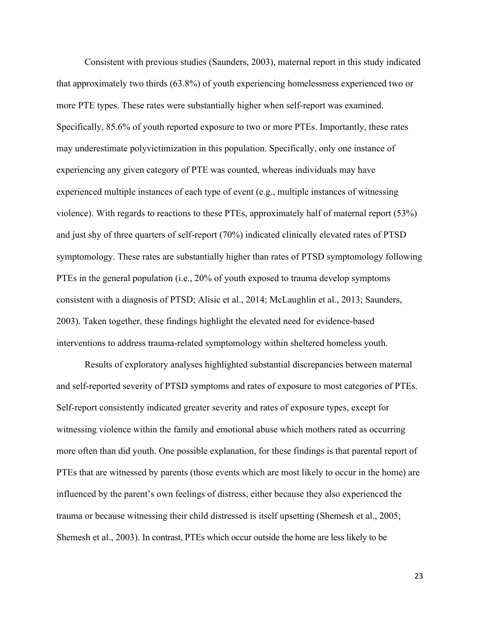Consistent with previous studies (Saunders, 2003), maternal report in this study indicated that approximately two thirds (63.8%) of youth experiencing homelessness experienced two or more PTE types. These rates were substantially higher when self-report was examined. Specifically, 85.6% of youth reported exposure to two or more PTEs. Importantly, these rates may underestimate polyvictimization in this population. Specifically, only one instance of experiencing any given category of PTE was counted, whereas individuals may have experienced multiple instances of each type of event (e.g., multiple instances of witnessing violence). With regards to reactions to these PTEs, approximately half of maternal report (53%) and just shy of three quarters of self-report (70%) indicated clinically elevated rates of PTSD symptomology. These rates are substantially higher than rates of PTSD symptomology following PTEs in the general population (i.e., 20% of youth exposed to trauma develop symptoms consistent with a diagnosis of PTSD; Alisic et al., 2014; McLaughlin et al., 2013; Saunders, 2003). Taken together, these findings highlight the elevated need for evidence-based interventions to address trauma-related symptomology within sheltered homeless youth.

Results of exploratory analyses highlighted substantial discrepancies between maternal and self-reported severity of PTSD symptoms and rates of exposure to most categories of PTEs. Self-report consistently indicated greater severity and rates of exposure types, except for witnessing violence within the family and emotional abuse which mothers rated as occurring more often than did youth. One possible explanation, for these findings is that parental report of PTEs that are witnessed by parents (those events which are most likely to occur in the home) are influenced by the parent's own feelings of distress, either because they also experienced the trauma or because witnessing their child distressed is itself upsetting (Shemesh et al., 2005; Shemesh et al., 2003). In contrast, PTEs which occur outside the home are less likely to be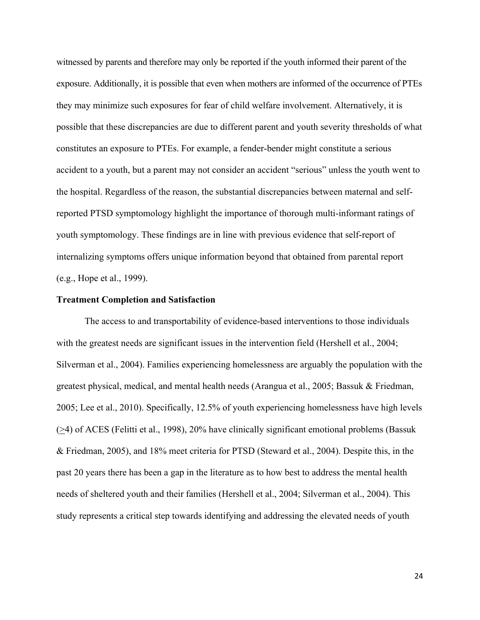witnessed by parents and therefore may only be reported if the youth informed their parent of the exposure. Additionally, it is possible that even when mothers are informed of the occurrence of PTEs they may minimize such exposures for fear of child welfare involvement. Alternatively, it is possible that these discrepancies are due to different parent and youth severity thresholds of what constitutes an exposure to PTEs. For example, a fender-bender might constitute a serious accident to a youth, but a parent may not consider an accident "serious" unless the youth went to the hospital. Regardless of the reason, the substantial discrepancies between maternal and selfreported PTSD symptomology highlight the importance of thorough multi-informant ratings of youth symptomology. These findings are in line with previous evidence that self-report of internalizing symptoms offers unique information beyond that obtained from parental report (e.g., Hope et al., 1999).

# **Treatment Completion and Satisfaction**

 The access to and transportability of evidence-based interventions to those individuals with the greatest needs are significant issues in the intervention field (Hershell et al., 2004; Silverman et al., 2004). Families experiencing homelessness are arguably the population with the greatest physical, medical, and mental health needs (Arangua et al., 2005; Bassuk & Friedman, 2005; Lee et al., 2010). Specifically, 12.5% of youth experiencing homelessness have high levels (>4) of ACES (Felitti et al., 1998), 20% have clinically significant emotional problems (Bassuk & Friedman, 2005), and 18% meet criteria for PTSD (Steward et al., 2004). Despite this, in the past 20 years there has been a gap in the literature as to how best to address the mental health needs of sheltered youth and their families (Hershell et al., 2004; Silverman et al., 2004). This study represents a critical step towards identifying and addressing the elevated needs of youth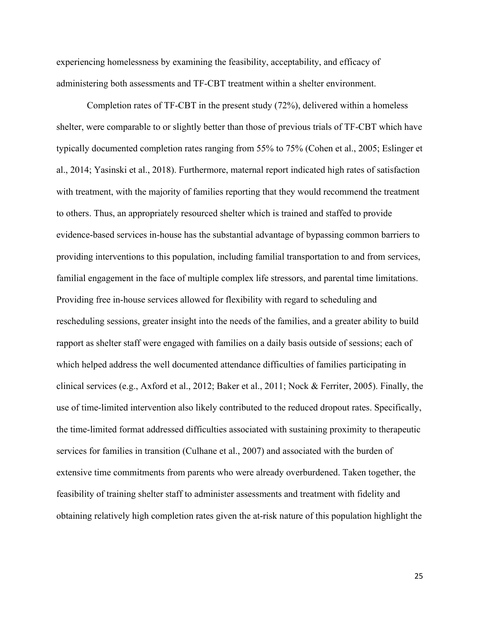experiencing homelessness by examining the feasibility, acceptability, and efficacy of administering both assessments and TF-CBT treatment within a shelter environment.

 Completion rates of TF-CBT in the present study (72%), delivered within a homeless shelter, were comparable to or slightly better than those of previous trials of TF-CBT which have typically documented completion rates ranging from 55% to 75% (Cohen et al., 2005; Eslinger et al., 2014; Yasinski et al., 2018). Furthermore, maternal report indicated high rates of satisfaction with treatment, with the majority of families reporting that they would recommend the treatment to others. Thus, an appropriately resourced shelter which is trained and staffed to provide evidence-based services in-house has the substantial advantage of bypassing common barriers to providing interventions to this population, including familial transportation to and from services, familial engagement in the face of multiple complex life stressors, and parental time limitations. Providing free in-house services allowed for flexibility with regard to scheduling and rescheduling sessions, greater insight into the needs of the families, and a greater ability to build rapport as shelter staff were engaged with families on a daily basis outside of sessions; each of which helped address the well documented attendance difficulties of families participating in clinical services (e.g., Axford et al., 2012; Baker et al., 2011; Nock & Ferriter, 2005). Finally, the use of time-limited intervention also likely contributed to the reduced dropout rates. Specifically, the time-limited format addressed difficulties associated with sustaining proximity to therapeutic services for families in transition (Culhane et al., 2007) and associated with the burden of extensive time commitments from parents who were already overburdened. Taken together, the feasibility of training shelter staff to administer assessments and treatment with fidelity and obtaining relatively high completion rates given the at-risk nature of this population highlight the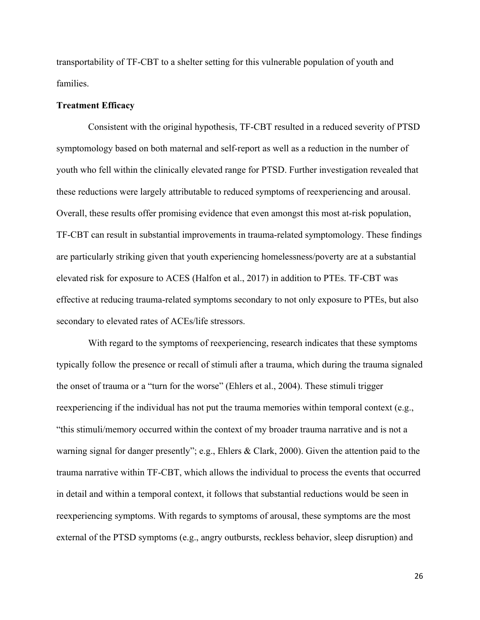transportability of TF-CBT to a shelter setting for this vulnerable population of youth and families.

# **Treatment Efficacy**

Consistent with the original hypothesis, TF-CBT resulted in a reduced severity of PTSD symptomology based on both maternal and self-report as well as a reduction in the number of youth who fell within the clinically elevated range for PTSD. Further investigation revealed that these reductions were largely attributable to reduced symptoms of reexperiencing and arousal. Overall, these results offer promising evidence that even amongst this most at-risk population, TF-CBT can result in substantial improvements in trauma-related symptomology. These findings are particularly striking given that youth experiencing homelessness/poverty are at a substantial elevated risk for exposure to ACES (Halfon et al., 2017) in addition to PTEs. TF-CBT was effective at reducing trauma-related symptoms secondary to not only exposure to PTEs, but also secondary to elevated rates of ACEs/life stressors.

 With regard to the symptoms of reexperiencing, research indicates that these symptoms typically follow the presence or recall of stimuli after a trauma, which during the trauma signaled the onset of trauma or a "turn for the worse" (Ehlers et al., 2004). These stimuli trigger reexperiencing if the individual has not put the trauma memories within temporal context (e.g., "this stimuli/memory occurred within the context of my broader trauma narrative and is not a warning signal for danger presently"; e.g., Ehlers & Clark, 2000). Given the attention paid to the trauma narrative within TF-CBT, which allows the individual to process the events that occurred in detail and within a temporal context, it follows that substantial reductions would be seen in reexperiencing symptoms. With regards to symptoms of arousal, these symptoms are the most external of the PTSD symptoms (e.g., angry outbursts, reckless behavior, sleep disruption) and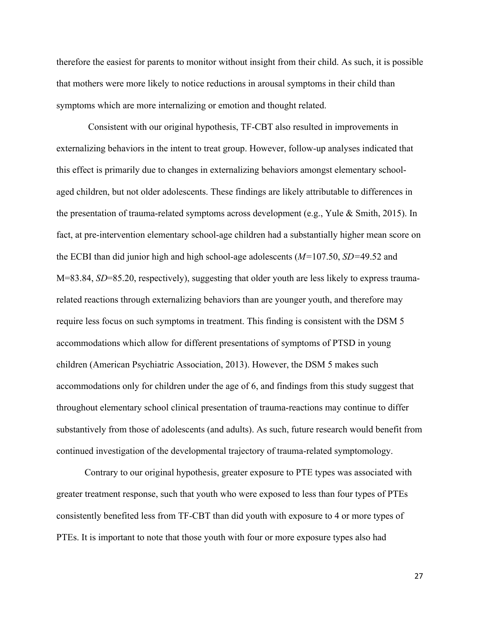therefore the easiest for parents to monitor without insight from their child. As such, it is possible that mothers were more likely to notice reductions in arousal symptoms in their child than symptoms which are more internalizing or emotion and thought related.

 Consistent with our original hypothesis, TF-CBT also resulted in improvements in externalizing behaviors in the intent to treat group. However, follow-up analyses indicated that this effect is primarily due to changes in externalizing behaviors amongst elementary schoolaged children, but not older adolescents. These findings are likely attributable to differences in the presentation of trauma-related symptoms across development (e.g., Yule & Smith, 2015). In fact, at pre-intervention elementary school-age children had a substantially higher mean score on the ECBI than did junior high and high school-age adolescents (*M=*107.50, *SD=*49.52 and M=83.84, *SD*=85.20, respectively), suggesting that older youth are less likely to express traumarelated reactions through externalizing behaviors than are younger youth, and therefore may require less focus on such symptoms in treatment. This finding is consistent with the DSM 5 accommodations which allow for different presentations of symptoms of PTSD in young children (American Psychiatric Association, 2013). However, the DSM 5 makes such accommodations only for children under the age of 6, and findings from this study suggest that throughout elementary school clinical presentation of trauma-reactions may continue to differ substantively from those of adolescents (and adults). As such, future research would benefit from continued investigation of the developmental trajectory of trauma-related symptomology.

Contrary to our original hypothesis, greater exposure to PTE types was associated with greater treatment response, such that youth who were exposed to less than four types of PTEs consistently benefited less from TF-CBT than did youth with exposure to 4 or more types of PTEs. It is important to note that those youth with four or more exposure types also had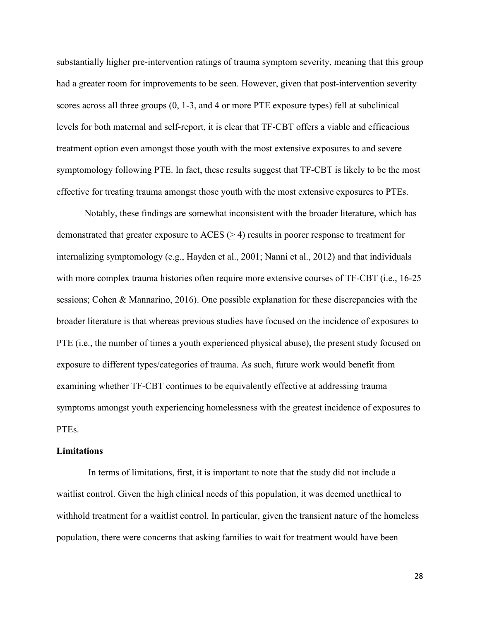substantially higher pre-intervention ratings of trauma symptom severity, meaning that this group had a greater room for improvements to be seen. However, given that post-intervention severity scores across all three groups (0, 1-3, and 4 or more PTE exposure types) fell at subclinical levels for both maternal and self-report, it is clear that TF-CBT offers a viable and efficacious treatment option even amongst those youth with the most extensive exposures to and severe symptomology following PTE. In fact, these results suggest that TF-CBT is likely to be the most effective for treating trauma amongst those youth with the most extensive exposures to PTEs.

Notably, these findings are somewhat inconsistent with the broader literature, which has demonstrated that greater exposure to ACES (> 4) results in poorer response to treatment for internalizing symptomology (e.g., Hayden et al., 2001; Nanni et al., 2012) and that individuals with more complex trauma histories often require more extensive courses of TF-CBT (i.e., 16-25 sessions; Cohen & Mannarino, 2016). One possible explanation for these discrepancies with the broader literature is that whereas previous studies have focused on the incidence of exposures to PTE (i.e., the number of times a youth experienced physical abuse), the present study focused on exposure to different types/categories of trauma. As such, future work would benefit from examining whether TF-CBT continues to be equivalently effective at addressing trauma symptoms amongst youth experiencing homelessness with the greatest incidence of exposures to PTEs.

#### **Limitations**

 In terms of limitations, first, it is important to note that the study did not include a waitlist control. Given the high clinical needs of this population, it was deemed unethical to withhold treatment for a waitlist control. In particular, given the transient nature of the homeless population, there were concerns that asking families to wait for treatment would have been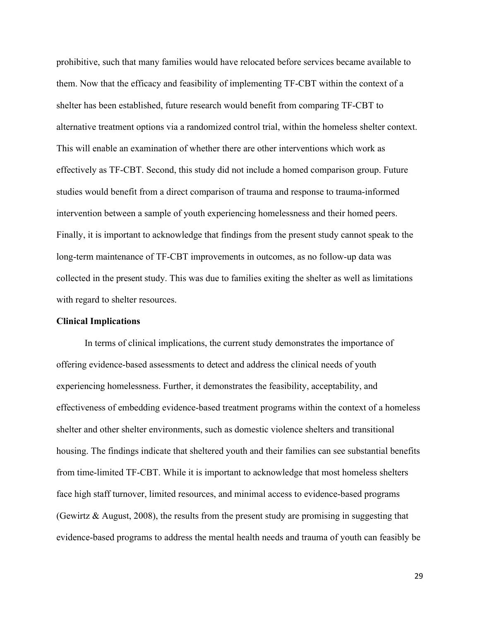prohibitive, such that many families would have relocated before services became available to them. Now that the efficacy and feasibility of implementing TF-CBT within the context of a shelter has been established, future research would benefit from comparing TF-CBT to alternative treatment options via a randomized control trial, within the homeless shelter context. This will enable an examination of whether there are other interventions which work as effectively as TF-CBT. Second, this study did not include a homed comparison group. Future studies would benefit from a direct comparison of trauma and response to trauma-informed intervention between a sample of youth experiencing homelessness and their homed peers. Finally, it is important to acknowledge that findings from the present study cannot speak to the long-term maintenance of TF-CBT improvements in outcomes, as no follow-up data was collected in the present study. This was due to families exiting the shelter as well as limitations with regard to shelter resources.

## **Clinical Implications**

In terms of clinical implications, the current study demonstrates the importance of offering evidence-based assessments to detect and address the clinical needs of youth experiencing homelessness. Further, it demonstrates the feasibility, acceptability, and effectiveness of embedding evidence-based treatment programs within the context of a homeless shelter and other shelter environments, such as domestic violence shelters and transitional housing. The findings indicate that sheltered youth and their families can see substantial benefits from time-limited TF-CBT. While it is important to acknowledge that most homeless shelters face high staff turnover, limited resources, and minimal access to evidence-based programs (Gewirtz & August, 2008), the results from the present study are promising in suggesting that evidence-based programs to address the mental health needs and trauma of youth can feasibly be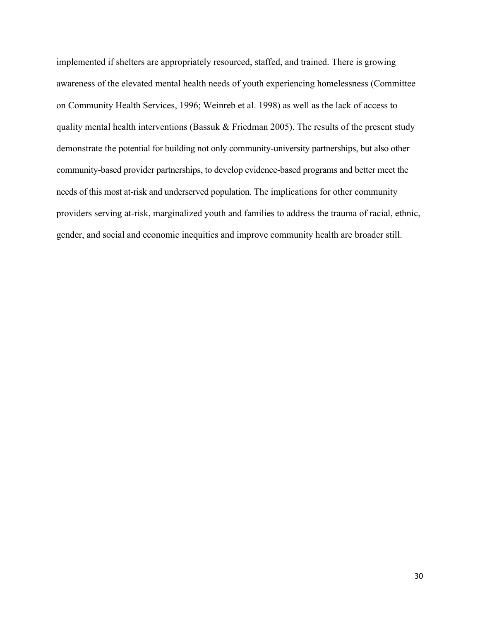implemented if shelters are appropriately resourced, staffed, and trained. There is growing awareness of the elevated mental health needs of youth experiencing homelessness (Committee on Community Health Services, 1996; Weinreb et al. 1998) as well as the lack of access to quality mental health interventions (Bassuk & Friedman 2005). The results of the present study demonstrate the potential for building not only community-university partnerships, but also other community-based provider partnerships, to develop evidence-based programs and better meet the needs of this most at-risk and underserved population. The implications for other community providers serving at-risk, marginalized youth and families to address the trauma of racial, ethnic, gender, and social and economic inequities and improve community health are broader still.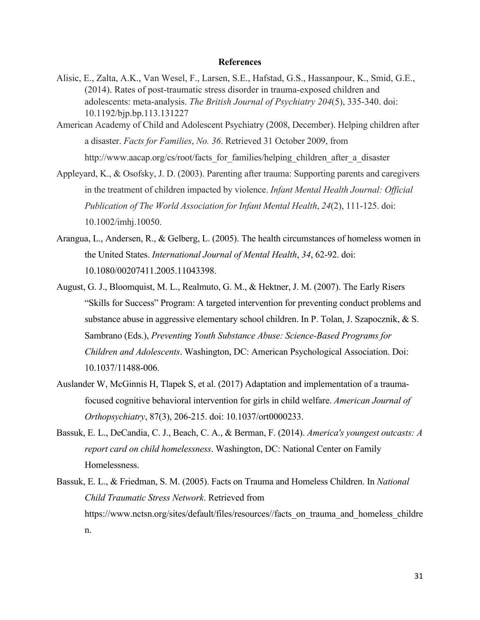#### **References**

- Alisic, E., Zalta, A.K., Van Wesel, F., Larsen, S.E., Hafstad, G.S., Hassanpour, K., Smid, G.E., (2014). Rates of post-traumatic stress disorder in trauma-exposed children and adolescents: meta-analysis. *The British Journal of Psychiatry 204*(5), 335-340. doi: 10.1192/bjp.bp.113.131227
- American Academy of Child and Adolescent Psychiatry (2008, December). Helping children after a disaster. *Facts for Families*, *No. 36*. Retrieved 31 October 2009, from http://www.aacap.org/cs/root/facts for families/helping children after a disaster
- Appleyard, K., & Osofsky, J. D. (2003). Parenting after trauma: Supporting parents and caregivers in the treatment of children impacted by violence. *Infant Mental Health Journal: Official Publication of The World Association for Infant Mental Health*, *24*(2), 111-125. doi: 10.1002/imhj.10050.
- Arangua, L., Andersen, R., & Gelberg, L. (2005). The health circumstances of homeless women in the United States. *International Journal of Mental Health*, *34*, 62-92. doi: 10.1080/00207411.2005.11043398.
- August, G. J., Bloomquist, M. L., Realmuto, G. M., & Hektner, J. M. (2007). The Early Risers "Skills for Success" Program: A targeted intervention for preventing conduct problems and substance abuse in aggressive elementary school children. In P. Tolan, J. Szapocznik, & S. Sambrano (Eds.), *Preventing Youth Substance Abuse: Science-Based Programs for Children and Adolescents*. Washington, DC: American Psychological Association. Doi: 10.1037/11488-006.
- Auslander W, McGinnis H, Tlapek S, et al. (2017) Adaptation and implementation of a traumafocused cognitive behavioral intervention for girls in child welfare. *American Journal of Orthopsychiatry*, 87(3), 206-215. doi: 10.1037/ort0000233.
- Bassuk, E. L., DeCandia, C. J., Beach, C. A., & Berman, F. (2014). *America's youngest outcasts: A report card on child homelessness*. Washington, DC: National Center on Family Homelessness.
- Bassuk, E. L., & Friedman, S. M. (2005). Facts on Trauma and Homeless Children. In *National Child Traumatic Stress Network*. Retrieved from https://www.nctsn.org/sites/default/files/resources//facts\_on\_trauma\_and\_homeless\_childre n.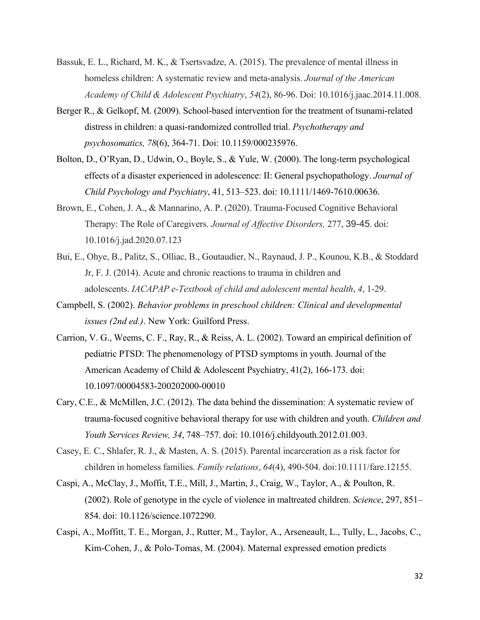- Bassuk, E. L., Richard, M. K., & Tsertsvadze, A. (2015). The prevalence of mental illness in homeless children: A systematic review and meta-analysis. *Journal of the American Academy of Child & Adolescent Psychiatry*, *54*(2), 86-96. Doi: 10.1016/j.jaac.2014.11.008.
- Berger R., & Gelkopf, M. (2009). School-based intervention for the treatment of tsunami-related distress in children: a quasi-randomized controlled trial. *Psychotherapy and psychosomatics, 78*(6), 364-71. Doi: 10.1159/000235976.
- Bolton, D., O'Ryan, D., Udwin, O., Boyle, S., & Yule, W. (2000). The long-term psychological effects of a disaster experienced in adolescence: II: General psychopathology. *Journal of Child Psychology and Psychiatry*, 41, 513–523. doi: 10.1111/1469-7610.00636.
- Brown, E., Cohen, J. A., & Mannarino, A. P. (2020). Trauma-Focused Cognitive Behavioral Therapy: The Role of Caregivers. *Journal of Affective Disorders,* 277, 39-45. doi: 10.1016/j.jad.2020.07.123
- Bui, E., Ohye, B., Palitz, S., Olliac, B., Goutaudier, N., Raynaud, J. P., Kounou, K.B., & Stoddard Jr, F. J. (2014). Acute and chronic reactions to trauma in children and adolescents. *IACAPAP e-Textbook of child and adolescent mental health*, *4*, 1-29.
- Campbell, S. (2002). *Behavior problems in preschool children: Clinical and developmental issues (2nd ed.)*. New York: Guilford Press.
- Carrion, V. G., Weems, C. F., Ray, R., & Reiss, A. L. (2002). Toward an empirical definition of pediatric PTSD: The phenomenology of PTSD symptoms in youth. Journal of the American Academy of Child & Adolescent Psychiatry, 41(2), 166-173. doi: 10.1097/00004583-200202000-00010
- Cary, C.E., & McMillen, J.C. (2012). The data behind the dissemination: A systematic review of trauma-focused cognitive behavioral therapy for use with children and youth. *Children and Youth Services Review, 34*, 748–757. doi: 10.1016/j.childyouth.2012.01.003.
- Casey, E. C., Shlafer, R. J., & Masten, A. S. (2015). Parental incarceration as a risk factor for children in homeless families. *Family relations*, *64*(4), 490-504. doi:10.1111/fare.12155.
- Caspi, A., McClay, J., Moffit, T.E., Mill, J., Martin, J., Craig, W., Taylor, A., & Poulton, R. (2002). Role of genotype in the cycle of violence in maltreated children. *Science*, 297, 851– 854. doi: 10.1126/science.1072290.
- Caspi, A., Moffitt, T. E., Morgan, J., Rutter, M., Taylor, A., Arseneault, L., Tully, L., Jacobs, C., Kim-Cohen, J., & Polo-Tomas, M. (2004). Maternal expressed emotion predicts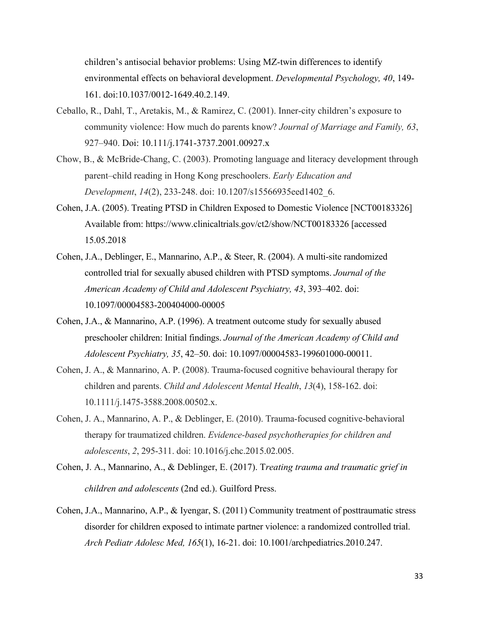children's antisocial behavior problems: Using MZ-twin differences to identify environmental effects on behavioral development. *Developmental Psychology, 40*, 149- 161. doi:10.1037/0012-1649.40.2.149.

- Ceballo, R., Dahl, T., Aretakis, M., & Ramirez, C. (2001). Inner-city children's exposure to community violence: How much do parents know? *Journal of Marriage and Family, 63*, 927–940. Doi: 10.111/j.1741-3737.2001.00927.x
- Chow, B., & McBride-Chang, C. (2003). Promoting language and literacy development through parent–child reading in Hong Kong preschoolers. *Early Education and Development*, *14*(2), 233-248. doi: 10.1207/s15566935eed1402\_6.
- Cohen, J.A. (2005). Treating PTSD in Children Exposed to Domestic Violence [NCT00183326] Available from: https://www.clinicaltrials.gov/ct2/show/NCT00183326 [accessed 15.05.2018
- Cohen, J.A., Deblinger, E., Mannarino, A.P., & Steer, R. (2004). A multi-site randomized controlled trial for sexually abused children with PTSD symptoms. *Journal of the American Academy of Child and Adolescent Psychiatry, 43*, 393–402. doi: 10.1097/00004583-200404000-00005
- Cohen, J.A., & Mannarino, A.P. (1996). A treatment outcome study for sexually abused preschooler children: Initial findings. *Journal of the American Academy of Child and Adolescent Psychiatry, 35*, 42–50. doi: 10.1097/00004583-199601000-00011.
- Cohen, J. A., & Mannarino, A. P. (2008). Trauma‐focused cognitive behavioural therapy for children and parents. *Child and Adolescent Mental Health*, *13*(4), 158-162. doi: 10.1111/j.1475-3588.2008.00502.x.
- Cohen, J. A., Mannarino, A. P., & Deblinger, E. (2010). Trauma-focused cognitive-behavioral therapy for traumatized children. *Evidence-based psychotherapies for children and adolescents*, *2*, 295-311. doi: 10.1016/j.chc.2015.02.005.
- Cohen, J. A., Mannarino, A., & Deblinger, E. (2017). T*reating trauma and traumatic grief in children and adolescents* (2nd ed.). Guilford Press.
- Cohen, J.A., Mannarino, A.P., & Iyengar, S. (2011) Community treatment of posttraumatic stress disorder for children exposed to intimate partner violence: a randomized controlled trial. *Arch Pediatr Adolesc Med, 165*(1), 16-21. doi: 10.1001/archpediatrics.2010.247.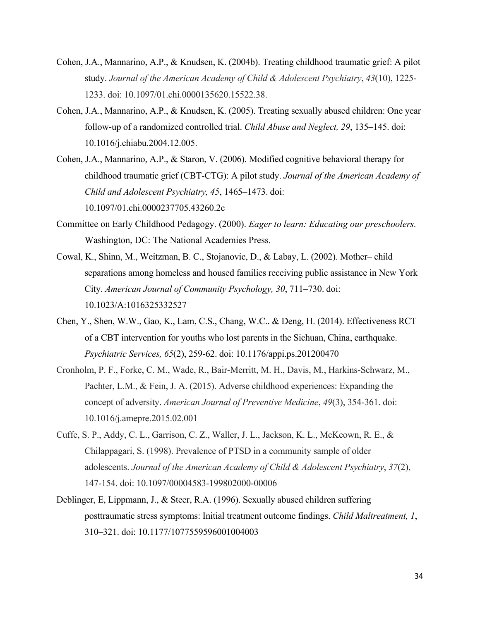- Cohen, J.A., Mannarino, A.P., & Knudsen, K. (2004b). Treating childhood traumatic grief: A pilot study. *Journal of the American Academy of Child & Adolescent Psychiatry*, *43*(10), 1225- 1233. doi: 10.1097/01.chi.0000135620.15522.38.
- Cohen, J.A., Mannarino, A.P., & Knudsen, K. (2005). Treating sexually abused children: One year follow-up of a randomized controlled trial. *Child Abuse and Neglect, 29*, 135–145. doi: 10.1016/j.chiabu.2004.12.005.
- Cohen, J.A., Mannarino, A.P., & Staron, V. (2006). Modified cognitive behavioral therapy for childhood traumatic grief (CBT-CTG): A pilot study. *Journal of the American Academy of Child and Adolescent Psychiatry, 45*, 1465–1473. doi: 10.1097/01.chi.0000237705.43260.2c
- Committee on Early Childhood Pedagogy. (2000). *Eager to learn: Educating our preschoolers.* Washington, DC: The National Academies Press.
- Cowal, K., Shinn, M., Weitzman, B. C., Stojanovic, D., & Labay, L. (2002). Mother– child separations among homeless and housed families receiving public assistance in New York City. *American Journal of Community Psychology, 30*, 711–730. doi: 10.1023/A:1016325332527
- Chen, Y., Shen, W.W., Gao, K., Lam, C.S., Chang, W.C.. & Deng, H. (2014). Effectiveness RCT of a CBT intervention for youths who lost parents in the Sichuan, China, earthquake. *Psychiatric Services, 65*(2), 259-62. doi: 10.1176/appi.ps.201200470
- Cronholm, P. F., Forke, C. M., Wade, R., Bair-Merritt, M. H., Davis, M., Harkins-Schwarz, M., Pachter, L.M., & Fein, J. A. (2015). Adverse childhood experiences: Expanding the concept of adversity. *American Journal of Preventive Medicine*, *49*(3), 354-361. doi: 10.1016/j.amepre.2015.02.001
- Cuffe, S. P., Addy, C. L., Garrison, C. Z., Waller, J. L., Jackson, K. L., McKeown, R. E., & Chilappagari, S. (1998). Prevalence of PTSD in a community sample of older adolescents. *Journal of the American Academy of Child & Adolescent Psychiatry*, *37*(2), 147-154. doi: 10.1097/00004583-199802000-00006
- Deblinger, E, Lippmann, J., & Steer, R.A. (1996). Sexually abused children suffering posttraumatic stress symptoms: Initial treatment outcome findings. *Child Maltreatment, 1*, 310–321. doi: 10.1177/1077559596001004003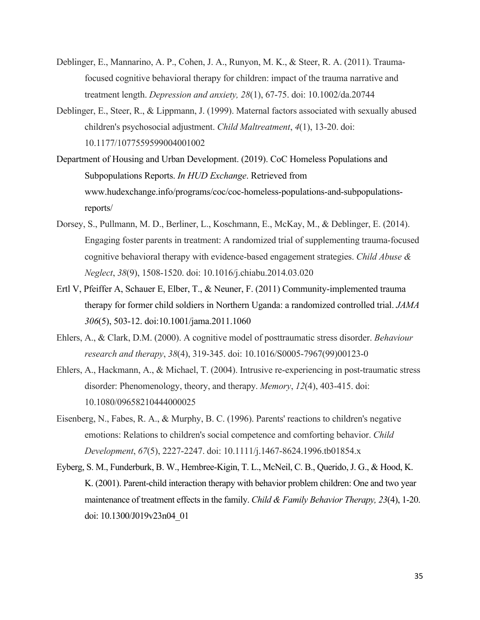- Deblinger, E., Mannarino, A. P., Cohen, J. A., Runyon, M. K., & Steer, R. A. (2011). Traumafocused cognitive behavioral therapy for children: impact of the trauma narrative and treatment length. *Depression and anxiety, 28*(1), 67-75. doi: 10.1002/da.20744
- Deblinger, E., Steer, R., & Lippmann, J. (1999). Maternal factors associated with sexually abused children's psychosocial adjustment. *Child Maltreatment*, *4*(1), 13-20. doi: 10.1177/1077559599004001002
- Department of Housing and Urban Development. (2019). CoC Homeless Populations and Subpopulations Reports. *In HUD Exchange*. Retrieved from www.hudexchange.info/programs/coc/coc-homeless-populations-and-subpopulationsreports/
- Dorsey, S., Pullmann, M. D., Berliner, L., Koschmann, E., McKay, M., & Deblinger, E. (2014). Engaging foster parents in treatment: A randomized trial of supplementing trauma-focused cognitive behavioral therapy with evidence-based engagement strategies. *Child Abuse & Neglect*, *38*(9), 1508-1520. doi: 10.1016/j.chiabu.2014.03.020
- Ertl V, Pfeiffer A, Schauer E, Elber, T., & Neuner, F. (2011) Community-implemented trauma therapy for former child soldiers in Northern Uganda: a randomized controlled trial. *JAMA 306*(5), 503-12. doi:10.1001/jama.2011.1060
- Ehlers, A., & Clark, D.M. (2000). A cognitive model of posttraumatic stress disorder. *Behaviour research and therapy*, *38*(4), 319-345. doi: 10.1016/S0005-7967(99)00123-0
- Ehlers, A., Hackmann, A., & Michael, T. (2004). Intrusive re‐experiencing in post‐traumatic stress disorder: Phenomenology, theory, and therapy. *Memory*, *12*(4), 403-415. doi: 10.1080/09658210444000025
- Eisenberg, N., Fabes, R. A., & Murphy, B. C. (1996). Parents' reactions to children's negative emotions: Relations to children's social competence and comforting behavior. *Child Development*, *67*(5), 2227-2247. doi: 10.1111/j.1467-8624.1996.tb01854.x
- Eyberg, S. M., Funderburk, B. W., Hembree-Kigin, T. L., McNeil, C. B., Querido, J. G., & Hood, K. K. (2001). Parent-child interaction therapy with behavior problem children: One and two year maintenance of treatment effects in the family. *Child & Family Behavior Therapy, 23*(4), 1-20. doi: 10.1300/J019v23n04\_01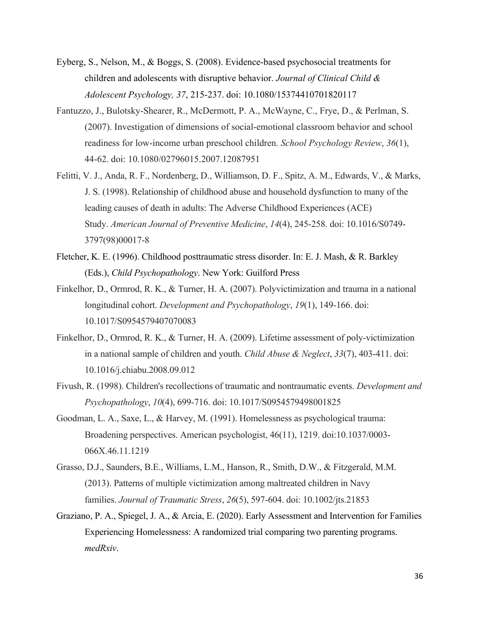- Eyberg, S., Nelson, M., & Boggs, S. (2008). Evidence-based psychosocial treatments for children and adolescents with disruptive behavior. *Journal of Clinical Child & Adolescent Psychology, 37*, 215-237. doi: 10.1080/15374410701820117
- Fantuzzo, J., Bulotsky-Shearer, R., McDermott, P. A., McWayne, C., Frye, D., & Perlman, S. (2007). Investigation of dimensions of social-emotional classroom behavior and school readiness for low-income urban preschool children. *School Psychology Review*, *36*(1), 44-62. doi: 10.1080/02796015.2007.12087951
- Felitti, V. J., Anda, R. F., Nordenberg, D., Williamson, D. F., Spitz, A. M., Edwards, V., & Marks, J. S. (1998). Relationship of childhood abuse and household dysfunction to many of the leading causes of death in adults: The Adverse Childhood Experiences (ACE) Study. *American Journal of Preventive Medicine*, *14*(4), 245-258. doi: 10.1016/S0749- 3797(98)00017-8
- Fletcher, K. E. (1996). Childhood posttraumatic stress disorder. In: E. J. Mash, & R. Barkley (Eds.), *Child Psychopathology*. New York: Guilford Press
- Finkelhor, D., Ormrod, R. K., & Turner, H. A. (2007). Polyvictimization and trauma in a national longitudinal cohort. *Development and Psychopathology*, *19*(1), 149-166. doi: 10.1017/S0954579407070083
- Finkelhor, D., Ormrod, R. K., & Turner, H. A. (2009). Lifetime assessment of poly-victimization in a national sample of children and youth. *Child Abuse & Neglect*, *33*(7), 403-411. doi: 10.1016/j.chiabu.2008.09.012
- Fivush, R. (1998). Children's recollections of traumatic and nontraumatic events. *Development and Psychopathology*, *10*(4), 699-716. doi: 10.1017/S0954579498001825
- Goodman, L. A., Saxe, L., & Harvey, M. (1991). Homelessness as psychological trauma: Broadening perspectives. American psychologist, 46(11), 1219. doi:10.1037/0003- 066X.46.11.1219
- Grasso, D.J., Saunders, B.E., Williams, L.M., Hanson, R., Smith, D.W., & Fitzgerald, M.M. (2013). Patterns of multiple victimization among maltreated children in Navy families. *Journal of Traumatic Stress*, *26*(5), 597-604. doi: 10.1002/jts.21853
- Graziano, P. A., Spiegel, J. A., & Arcia, E. (2020). Early Assessment and Intervention for Families Experiencing Homelessness: A randomized trial comparing two parenting programs. *medRxiv*.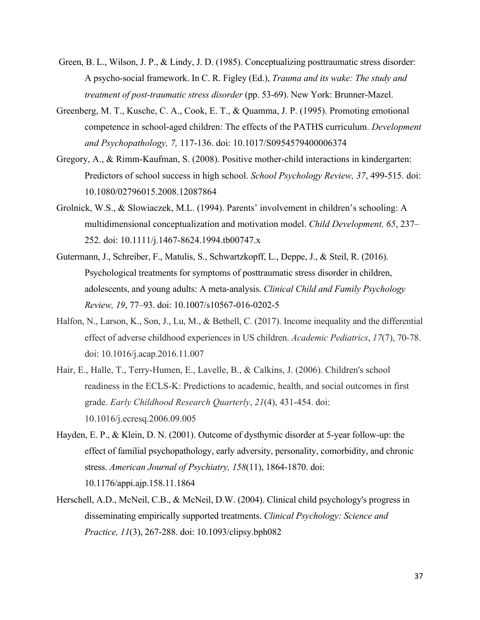- Green, B. L., Wilson, J. P., & Lindy, J. D. (1985). Conceptualizing posttraumatic stress disorder: A psycho-social framework. In C. R. Figley (Ed.), *Trauma and its wake: The study and treatment of post-traumatic stress disorder* (pp. 53-69). New York: Brunner-Mazel.
- Greenberg, M. T., Kusche, C. A., Cook, E. T., & Quamma, J. P. (1995). Promoting emotional competence in school-aged children: The effects of the PATHS curriculum. *Development and Psychopathology, 7,* 117-136. doi: 10.1017/S0954579400006374
- Gregory, A., & Rimm-Kaufman, S. (2008). Positive mother-child interactions in kindergarten: Predictors of school success in high school. *School Psychology Review, 37*, 499-515. doi: 10.1080/02796015.2008.12087864
- Grolnick, W.S., & Slowiaczek, M.L. (1994). Parents' involvement in children's schooling: A multidimensional conceptualization and motivation model. *Child Development, 65*, 237– 252. doi: 10.1111/j.1467-8624.1994.tb00747.x
- Gutermann, J., Schreiber, F., Matulis, S., Schwartzkopff, L., Deppe, J., & Steil, R. (2016). Psychological treatments for symptoms of posttraumatic stress disorder in children, adolescents, and young adults: A meta-analysis. *Clinical Child and Family Psychology Review, 19*, 77–93. doi: 10.1007/s10567-016-0202-5
- Halfon, N., Larson, K., Son, J., Lu, M., & Bethell, C. (2017). Income inequality and the differential effect of adverse childhood experiences in US children. *Academic Pediatrics*, *17*(7), 70-78. doi: 10.1016/j.acap.2016.11.007
- Hair, E., Halle, T., Terry-Humen, E., Lavelle, B., & Calkins, J. (2006). Children's school readiness in the ECLS-K: Predictions to academic, health, and social outcomes in first grade. *Early Childhood Research Quarterly*, *21*(4), 431-454. doi: 10.1016/j.ecresq.2006.09.005
- Hayden, E. P., & Klein, D. N. (2001). Outcome of dysthymic disorder at 5-year follow-up: the effect of familial psychopathology, early adversity, personality, comorbidity, and chronic stress. *American Journal of Psychiatry, 158*(11), 1864-1870. doi: 10.1176/appi.ajp.158.11.1864
- Herschell, A.D., McNeil, C.B., & McNeil, D.W. (2004). Clinical child psychology's progress in disseminating empirically supported treatments. *Clinical Psychology: Science and Practice, 11*(3), 267-288. doi: 10.1093/clipsy.bph082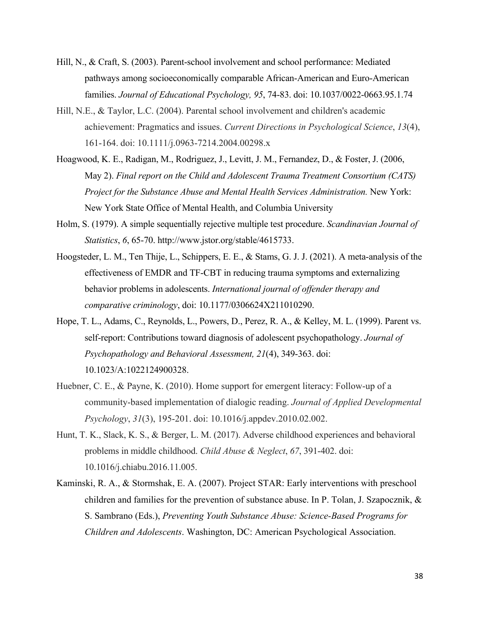- Hill, N., & Craft, S. (2003). Parent-school involvement and school performance: Mediated pathways among socioeconomically comparable African-American and Euro-American families. *Journal of Educational Psychology, 95*, 74-83. doi: 10.1037/0022-0663.95.1.74
- Hill, N.E., & Taylor, L.C. (2004). Parental school involvement and children's academic achievement: Pragmatics and issues. *Current Directions in Psychological Science*, *13*(4), 161-164. doi: 10.1111/j.0963-7214.2004.00298.x
- Hoagwood, K. E., Radigan, M., Rodriguez, J., Levitt, J. M., Fernandez, D., & Foster, J. (2006, May 2). *Final report on the Child and Adolescent Trauma Treatment Consortium (CATS) Project for the Substance Abuse and Mental Health Services Administration.* New York: New York State Office of Mental Health, and Columbia University
- Holm, S. (1979). A simple sequentially rejective multiple test procedure. *Scandinavian Journal of Statistics*, *6*, 65-70. http://www.jstor.org/stable/4615733.
- Hoogsteder, L. M., Ten Thije, L., Schippers, E. E., & Stams, G. J. J. (2021). A meta-analysis of the effectiveness of EMDR and TF-CBT in reducing trauma symptoms and externalizing behavior problems in adolescents. *International journal of offender therapy and comparative criminology*, doi: 10.1177/0306624X211010290.
- Hope, T. L., Adams, C., Reynolds, L., Powers, D., Perez, R. A., & Kelley, M. L. (1999). Parent vs. self-report: Contributions toward diagnosis of adolescent psychopathology. *Journal of Psychopathology and Behavioral Assessment, 21*(4), 349-363. doi: 10.1023/A:1022124900328.
- Huebner, C. E., & Payne, K. (2010). Home support for emergent literacy: Follow-up of a community-based implementation of dialogic reading. *Journal of Applied Developmental Psychology*, *31*(3), 195-201. doi: 10.1016/j.appdev.2010.02.002.
- Hunt, T. K., Slack, K. S., & Berger, L. M. (2017). Adverse childhood experiences and behavioral problems in middle childhood. *Child Abuse & Neglect*, *67*, 391-402. doi: 10.1016/j.chiabu.2016.11.005.
- Kaminski, R. A., & Stormshak, E. A. (2007). Project STAR: Early interventions with preschool children and families for the prevention of substance abuse. In P. Tolan, J. Szapocznik, & S. Sambrano (Eds.), *Preventing Youth Substance Abuse: Science-Based Programs for Children and Adolescents*. Washington, DC: American Psychological Association.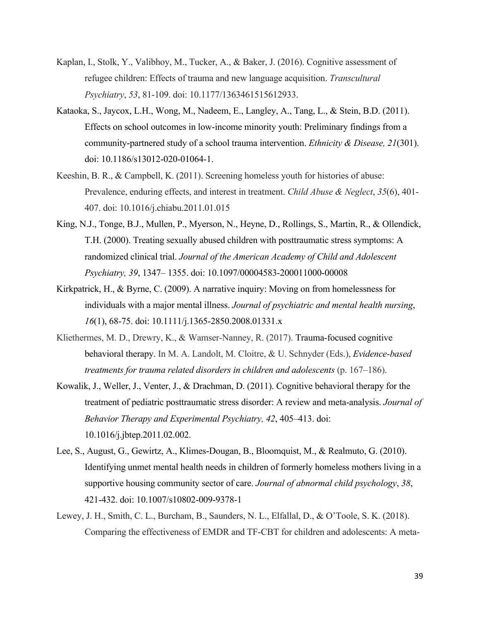- Kaplan, I., Stolk, Y., Valibhoy, M., Tucker, A., & Baker, J. (2016). Cognitive assessment of refugee children: Effects of trauma and new language acquisition. *Transcultural Psychiatry*, *53*, 81-109. doi: 10.1177/1363461515612933.
- Kataoka, S., Jaycox, L.H., Wong, M., Nadeem, E., Langley, A., Tang, L., & Stein, B.D. (2011). Effects on school outcomes in low-income minority youth: Preliminary findings from a community-partnered study of a school trauma intervention. *Ethnicity & Disease, 21*(301). doi: 10.1186/s13012-020-01064-1.
- Keeshin, B. R., & Campbell, K. (2011). Screening homeless youth for histories of abuse: Prevalence, enduring effects, and interest in treatment. *Child Abuse & Neglect*, *35*(6), 401- 407. doi: 10.1016/j.chiabu.2011.01.015
- King, N.J., Tonge, B.J., Mullen, P., Myerson, N., Heyne, D., Rollings, S., Martin, R., & Ollendick, T.H. (2000). Treating sexually abused children with posttraumatic stress symptoms: A randomized clinical trial. *Journal of the American Academy of Child and Adolescent Psychiatry, 39*, 1347– 1355. doi: 10.1097/00004583-200011000-00008
- Kirkpatrick, H., & Byrne, C. (2009). A narrative inquiry: Moving on from homelessness for individuals with a major mental illness. *Journal of psychiatric and mental health nursing*, *16*(1), 68-75. doi: 10.1111/j.1365-2850.2008.01331.x
- Kliethermes, M. D., Drewry, K., & Wamser-Nanney, R. (2017). Trauma-focused cognitive behavioral therapy. In M. A. Landolt, M. Cloitre, & U. Schnyder (Eds.), *Evidence-based treatments for trauma related disorders in children and adolescents* (p. 167–186).
- Kowalik, J., Weller, J., Venter, J., & Drachman, D. (2011). Cognitive behavioral therapy for the treatment of pediatric posttraumatic stress disorder: A review and meta-analysis. *Journal of Behavior Therapy and Experimental Psychiatry, 42*, 405–413. doi: 10.1016/j.jbtep.2011.02.002.
- Lee, S., August, G., Gewirtz, A., Klimes-Dougan, B., Bloomquist, M., & Realmuto, G. (2010). Identifying unmet mental health needs in children of formerly homeless mothers living in a supportive housing community sector of care. *Journal of abnormal child psychology*, *38*, 421-432. doi: 10.1007/s10802-009-9378-1
- Lewey, J. H., Smith, C. L., Burcham, B., Saunders, N. L., Elfallal, D., & O'Toole, S. K. (2018). Comparing the effectiveness of EMDR and TF-CBT for children and adolescents: A meta-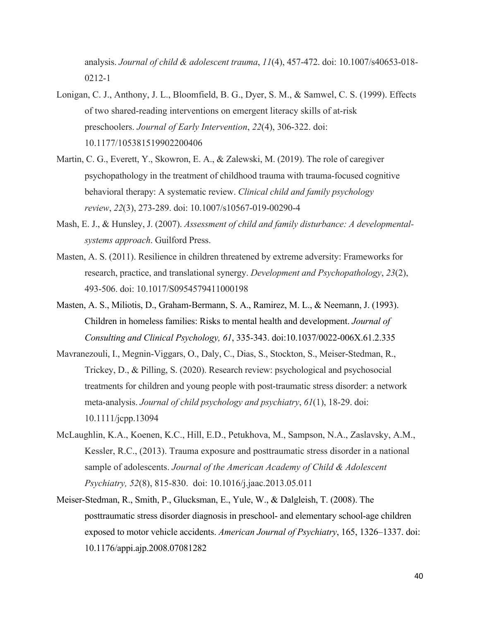analysis. *Journal of child & adolescent trauma*, *11*(4), 457-472. doi: 10.1007/s40653-018- 0212-1

- Lonigan, C. J., Anthony, J. L., Bloomfield, B. G., Dyer, S. M., & Samwel, C. S. (1999). Effects of two shared-reading interventions on emergent literacy skills of at-risk preschoolers. *Journal of Early Intervention*, *22*(4), 306-322. doi: 10.1177/105381519902200406
- Martin, C. G., Everett, Y., Skowron, E. A., & Zalewski, M. (2019). The role of caregiver psychopathology in the treatment of childhood trauma with trauma-focused cognitive behavioral therapy: A systematic review. *Clinical child and family psychology review*, *22*(3), 273-289. doi: 10.1007/s10567-019-00290-4
- Mash, E. J., & Hunsley, J. (2007). *Assessment of child and family disturbance: A developmentalsystems approach*. Guilford Press.
- Masten, A. S. (2011). Resilience in children threatened by extreme adversity: Frameworks for research, practice, and translational synergy. *Development and Psychopathology*, *23*(2), 493-506. doi: 10.1017/S0954579411000198
- Masten, A. S., Miliotis, D., Graham-Bermann, S. A., Ramirez, M. L., & Neemann, J. (1993). Children in homeless families: Risks to mental health and development. *Journal of Consulting and Clinical Psychology, 61*, 335-343. doi:10.1037/0022-006X.61.2.335
- Mavranezouli, I., Megnin‐Viggars, O., Daly, C., Dias, S., Stockton, S., Meiser‐Stedman, R., Trickey, D., & Pilling, S. (2020). Research review: psychological and psychosocial treatments for children and young people with post-traumatic stress disorder: a network meta‐analysis. *Journal of child psychology and psychiatry*, *61*(1), 18-29. doi: 10.1111/jcpp.13094
- McLaughlin, K.A., Koenen, K.C., Hill, E.D., Petukhova, M., Sampson, N.A., Zaslavsky, A.M., Kessler, R.C., (2013). Trauma exposure and posttraumatic stress disorder in a national sample of adolescents. *Journal of the American Academy of Child & Adolescent Psychiatry, 52*(8), 815-830. doi: 10.1016/j.jaac.2013.05.011
- Meiser-Stedman, R., Smith, P., Glucksman, E., Yule, W., & Dalgleish, T. (2008). The posttraumatic stress disorder diagnosis in preschool- and elementary school-age children exposed to motor vehicle accidents. *American Journal of Psychiatry*, 165, 1326–1337. doi: 10.1176/appi.ajp.2008.07081282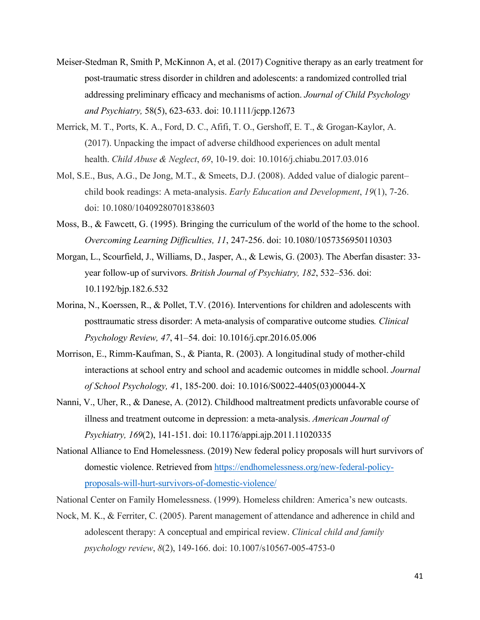- Meiser‐Stedman R, Smith P, McKinnon A, et al. (2017) Cognitive therapy as an early treatment for post‐traumatic stress disorder in children and adolescents: a randomized controlled trial addressing preliminary efficacy and mechanisms of action. *Journal of Child Psychology and Psychiatry,* 58(5), 623-633. doi: 10.1111/jcpp.12673
- Merrick, M. T., Ports, K. A., Ford, D. C., Afifi, T. O., Gershoff, E. T., & Grogan-Kaylor, A. (2017). Unpacking the impact of adverse childhood experiences on adult mental health. *Child Abuse & Neglect*, *69*, 10-19. doi: 10.1016/j.chiabu.2017.03.016
- Mol, S.E., Bus, A.G., De Jong, M.T., & Smeets, D.J. (2008). Added value of dialogic parent– child book readings: A meta-analysis. *Early Education and Development*, *19*(1), 7-26. doi: 10.1080/10409280701838603
- Moss, B., & Fawcett, G. (1995). Bringing the curriculum of the world of the home to the school. *Overcoming Learning Difficulties, 11*, 247-256. doi: 10.1080/1057356950110303
- Morgan, L., Scourfield, J., Williams, D., Jasper, A., & Lewis, G. (2003). The Aberfan disaster: 33 year follow-up of survivors. *British Journal of Psychiatry, 182*, 532–536. doi: 10.1192/bjp.182.6.532
- Morina, N., Koerssen, R., & Pollet, T.V. (2016). Interventions for children and adolescents with posttraumatic stress disorder: A meta-analysis of comparative outcome studies*. Clinical Psychology Review, 47*, 41–54. doi: 10.1016/j.cpr.2016.05.006
- Morrison, E., Rimm-Kaufman, S., & Pianta, R. (2003). A longitudinal study of mother-child interactions at school entry and school and academic outcomes in middle school. *Journal of School Psychology, 4*1, 185-200. doi: 10.1016/S0022-4405(03)00044-X
- Nanni, V., Uher, R., & Danese, A. (2012). Childhood maltreatment predicts unfavorable course of illness and treatment outcome in depression: a meta-analysis. *American Journal of Psychiatry, 169*(2), 141-151. doi: 10.1176/appi.ajp.2011.11020335
- National Alliance to End Homelessness. (2019) New federal policy proposals will hurt survivors of domestic violence. Retrieved from https://endhomelessness.org/new-federal-policyproposals-will-hurt-survivors-of-domestic-violence/
- National Center on Family Homelessness. (1999). Homeless children: America's new outcasts.
- Nock, M. K., & Ferriter, C. (2005). Parent management of attendance and adherence in child and adolescent therapy: A conceptual and empirical review. *Clinical child and family psychology review*, *8*(2), 149-166. doi: 10.1007/s10567-005-4753-0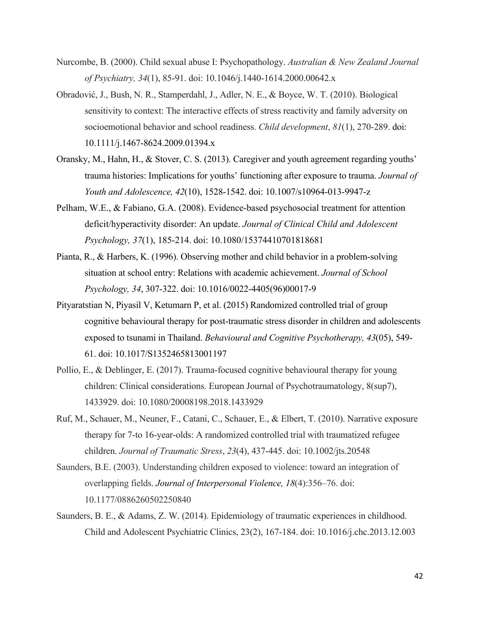- Nurcombe, B. (2000). Child sexual abuse I: Psychopathology. *Australian & New Zealand Journal of Psychiatry, 34*(1), 85-91. doi: 10.1046/j.1440-1614.2000.00642.x
- Obradović, J., Bush, N. R., Stamperdahl, J., Adler, N. E., & Boyce, W. T. (2010). Biological sensitivity to context: The interactive effects of stress reactivity and family adversity on socioemotional behavior and school readiness. *Child development*, *81*(1), 270-289. doi: 10.1111/j.1467-8624.2009.01394.x
- Oransky, M., Hahn, H., & Stover, C. S. (2013). Caregiver and youth agreement regarding youths' trauma histories: Implications for youths' functioning after exposure to trauma. *Journal of Youth and Adolescence, 42*(10), 1528-1542. doi: 10.1007/s10964-013-9947-z
- Pelham, W.E., & Fabiano, G.A. (2008). Evidence-based psychosocial treatment for attention deficit/hyperactivity disorder: An update. *Journal of Clinical Child and Adolescent Psychology, 37*(1), 185-214. doi: 10.1080/15374410701818681
- Pianta, R., & Harbers, K. (1996). Observing mother and child behavior in a problem-solving situation at school entry: Relations with academic achievement. *Journal of School Psychology, 34*, 307-322. doi: 10.1016/0022-4405(96)00017-9
- Pityaratstian N, Piyasil V, Ketumarn P, et al. (2015) Randomized controlled trial of group cognitive behavioural therapy for post-traumatic stress disorder in children and adolescents exposed to tsunami in Thailand. *Behavioural and Cognitive Psychotherapy, 43*(05), 549- 61. doi: 10.1017/S1352465813001197
- Pollio, E., & Deblinger, E. (2017). Trauma-focused cognitive behavioural therapy for young children: Clinical considerations. European Journal of Psychotraumatology, 8(sup7), 1433929. doi: 10.1080/20008198.2018.1433929
- Ruf, M., Schauer, M., Neuner, F., Catani, C., Schauer, E., & Elbert, T. (2010). Narrative exposure therapy for 7‐to 16‐year‐olds: A randomized controlled trial with traumatized refugee children. *Journal of Traumatic Stress*, *23*(4), 437-445. doi: 10.1002/jts.20548
- Saunders, B.E. (2003). Understanding children exposed to violence: toward an integration of overlapping fields. *Journal of Interpersonal Violence, 18*(4):356–76. doi: 10.1177/0886260502250840
- Saunders, B. E., & Adams, Z. W. (2014). Epidemiology of traumatic experiences in childhood. Child and Adolescent Psychiatric Clinics, 23(2), 167-184. doi: 10.1016/j.chc.2013.12.003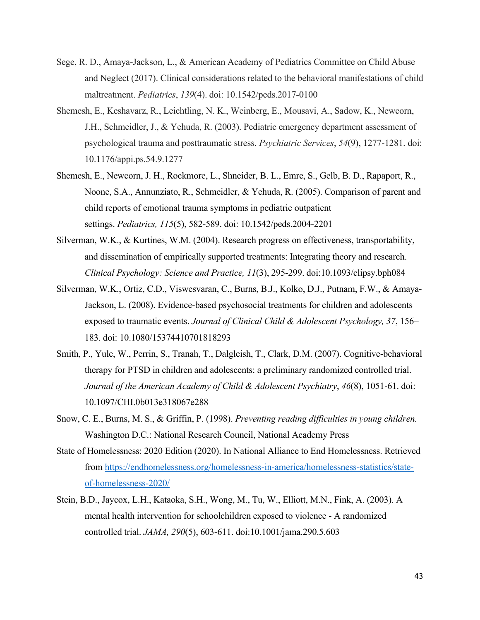- Sege, R. D., Amaya-Jackson, L., & American Academy of Pediatrics Committee on Child Abuse and Neglect (2017). Clinical considerations related to the behavioral manifestations of child maltreatment. *Pediatrics*, *139*(4). doi: 10.1542/peds.2017-0100
- Shemesh, E., Keshavarz, R., Leichtling, N. K., Weinberg, E., Mousavi, A., Sadow, K., Newcorn, J.H., Schmeidler, J., & Yehuda, R. (2003). Pediatric emergency department assessment of psychological trauma and posttraumatic stress. *Psychiatric Services*, *54*(9), 1277-1281. doi: 10.1176/appi.ps.54.9.1277
- Shemesh, E., Newcorn, J. H., Rockmore, L., Shneider, B. L., Emre, S., Gelb, B. D., Rapaport, R., Noone, S.A., Annunziato, R., Schmeidler, & Yehuda, R. (2005). Comparison of parent and child reports of emotional trauma symptoms in pediatric outpatient settings. *Pediatrics, 115*(5), 582-589. doi: 10.1542/peds.2004-2201
- Silverman, W.K., & Kurtines, W.M. (2004). Research progress on effectiveness, transportability, and dissemination of empirically supported treatments: Integrating theory and research. *Clinical Psychology: Science and Practice, 11*(3), 295-299. doi:10.1093/clipsy.bph084
- Silverman, W.K., Ortiz, C.D., Viswesvaran, C., Burns, B.J., Kolko, D.J., Putnam, F.W., & Amaya-Jackson, L. (2008). Evidence-based psychosocial treatments for children and adolescents exposed to traumatic events. *Journal of Clinical Child & Adolescent Psychology, 37*, 156– 183. doi: 10.1080/15374410701818293
- Smith, P., Yule, W., Perrin, S., Tranah, T., Dalgleish, T., Clark, D.M. (2007). Cognitive-behavioral therapy for PTSD in children and adolescents: a preliminary randomized controlled trial. *Journal of the American Academy of Child & Adolescent Psychiatry*, *46*(8), 1051-61. doi: 10.1097/CHI.0b013e318067e288
- Snow, C. E., Burns, M. S., & Griffin, P. (1998). *Preventing reading difficulties in young children.* Washington D.C.: National Research Council, National Academy Press
- State of Homelessness: 2020 Edition (2020). In National Alliance to End Homelessness. Retrieved from https://endhomelessness.org/homelessness-in-america/homelessness-statistics/stateof-homelessness-2020/
- Stein, B.D., Jaycox, L.H., Kataoka, S.H., Wong, M., Tu, W., Elliott, M.N., Fink, A. (2003). A mental health intervention for schoolchildren exposed to violence - A randomized controlled trial. *JAMA, 290*(5), 603-611. doi:10.1001/jama.290.5.603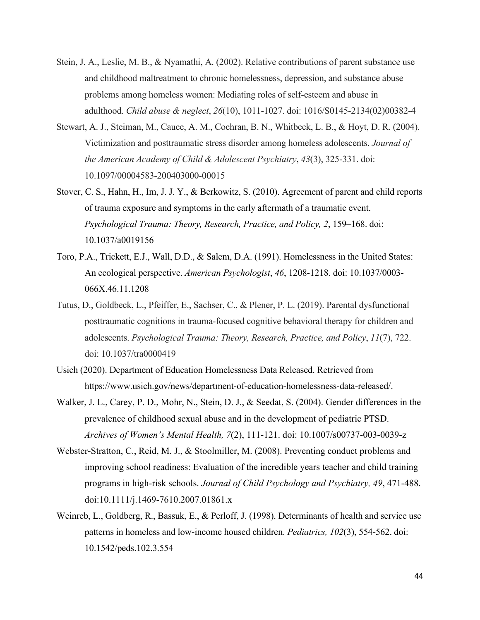- Stein, J. A., Leslie, M. B., & Nyamathi, A. (2002). Relative contributions of parent substance use and childhood maltreatment to chronic homelessness, depression, and substance abuse problems among homeless women: Mediating roles of self-esteem and abuse in adulthood. *Child abuse & neglect*, *26*(10), 1011-1027. doi: 1016/S0145-2134(02)00382-4
- Stewart, A. J., Steiman, M., Cauce, A. M., Cochran, B. N., Whitbeck, L. B., & Hoyt, D. R. (2004). Victimization and posttraumatic stress disorder among homeless adolescents. *Journal of the American Academy of Child & Adolescent Psychiatry*, *43*(3), 325-331. doi: 10.1097/00004583-200403000-00015
- Stover, C. S., Hahn, H., Im, J. J. Y., & Berkowitz, S. (2010). Agreement of parent and child reports of trauma exposure and symptoms in the early aftermath of a traumatic event. *Psychological Trauma: Theory, Research, Practice, and Policy, 2*, 159–168. doi: 10.1037/a0019156
- Toro, P.A., Trickett, E.J., Wall, D.D., & Salem, D.A. (1991). Homelessness in the United States: An ecological perspective. *American Psychologist*, *46*, 1208-1218. doi: 10.1037/0003- 066X.46.11.1208
- Tutus, D., Goldbeck, L., Pfeiffer, E., Sachser, C., & Plener, P. L. (2019). Parental dysfunctional posttraumatic cognitions in trauma-focused cognitive behavioral therapy for children and adolescents. *Psychological Trauma: Theory, Research, Practice, and Policy*, *11*(7), 722. doi: 10.1037/tra0000419
- Usich (2020). Department of Education Homelessness Data Released. Retrieved from https://www.usich.gov/news/department-of-education-homelessness-data-released/.
- Walker, J. L., Carey, P. D., Mohr, N., Stein, D. J., & Seedat, S. (2004). Gender differences in the prevalence of childhood sexual abuse and in the development of pediatric PTSD. *Archives of Women's Mental Health, 7*(2), 111-121. doi: 10.1007/s00737-003-0039-z
- Webster-Stratton, C., Reid, M. J., & Stoolmiller, M. (2008). Preventing conduct problems and improving school readiness: Evaluation of the incredible years teacher and child training programs in high-risk schools. *Journal of Child Psychology and Psychiatry, 49*, 471-488. doi:10.1111/j.1469-7610.2007.01861.x
- Weinreb, L., Goldberg, R., Bassuk, E., & Perloff, J. (1998). Determinants of health and service use patterns in homeless and low-income housed children. *Pediatrics, 102*(3), 554-562. doi: 10.1542/peds.102.3.554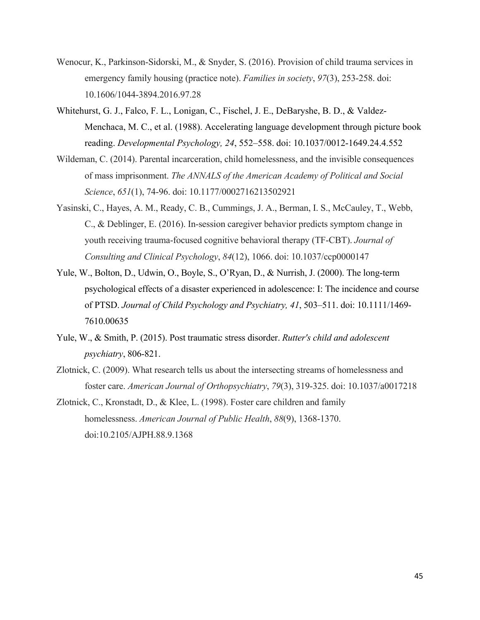- Wenocur, K., Parkinson-Sidorski, M., & Snyder, S. (2016). Provision of child trauma services in emergency family housing (practice note). *Families in society*, *97*(3), 253-258. doi: 10.1606/1044-3894.2016.97.28
- Whitehurst, G. J., Falco, F. L., Lonigan, C., Fischel, J. E., DeBaryshe, B. D., & Valdez-Menchaca, M. C., et al. (1988). Accelerating language development through picture book reading. *Developmental Psychology, 24*, 552–558. doi: 10.1037/0012-1649.24.4.552
- Wildeman, C. (2014). Parental incarceration, child homelessness, and the invisible consequences of mass imprisonment. *The ANNALS of the American Academy of Political and Social Science*, *651*(1), 74-96. doi: 10.1177/0002716213502921
- Yasinski, C., Hayes, A. M., Ready, C. B., Cummings, J. A., Berman, I. S., McCauley, T., Webb, C., & Deblinger, E. (2016). In-session caregiver behavior predicts symptom change in youth receiving trauma-focused cognitive behavioral therapy (TF-CBT). *Journal of Consulting and Clinical Psychology*, *84*(12), 1066. doi: 10.1037/ccp0000147
- Yule, W., Bolton, D., Udwin, O., Boyle, S., O'Ryan, D., & Nurrish, J. (2000). The long-term psychological effects of a disaster experienced in adolescence: I: The incidence and course of PTSD. *Journal of Child Psychology and Psychiatry, 41*, 503–511. doi: 10.1111/1469- 7610.00635
- Yule, W., & Smith, P. (2015). Post traumatic stress disorder. *Rutter's child and adolescent psychiatry*, 806-821.
- Zlotnick, C. (2009). What research tells us about the intersecting streams of homelessness and foster care. *American Journal of Orthopsychiatry*, *79*(3), 319-325. doi: 10.1037/a0017218

Zlotnick, C., Kronstadt, D., & Klee, L. (1998). Foster care children and family homelessness. *American Journal of Public Health*, *88*(9), 1368-1370. doi:10.2105/AJPH.88.9.1368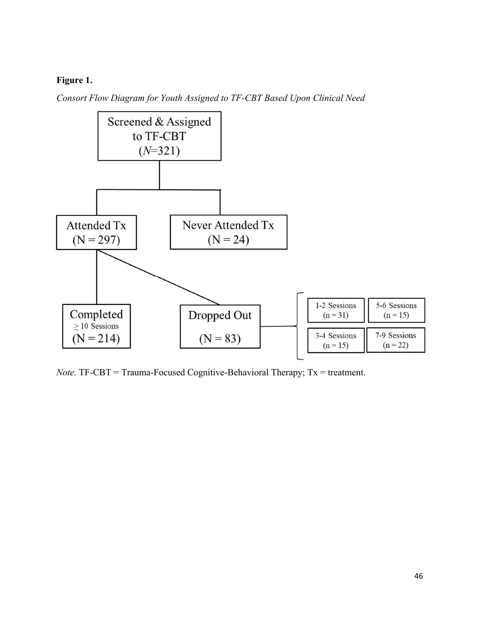# **Figure 1.**

*Consort Flow Diagram for Youth Assigned to TF-CBT Based Upon Clinical Need* 



*Note.* TF-CBT = Trauma-Focused Cognitive-Behavioral Therapy; Tx = treatment.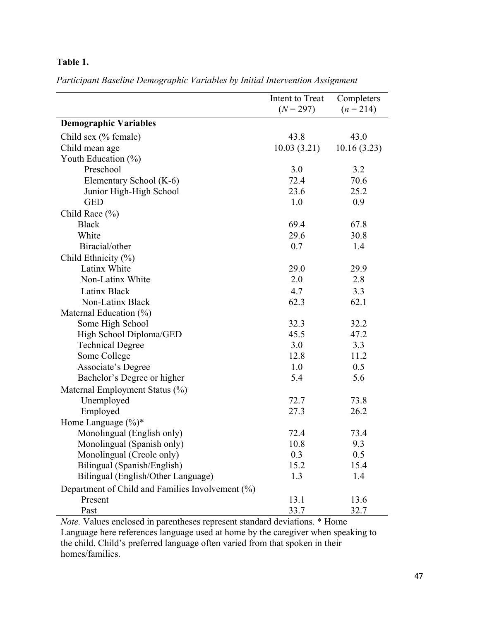# **Table 1.**

*Participant Baseline Demographic Variables by Initial Intervention Assignment*

|                                                  | Intent to Treat | Completers  |
|--------------------------------------------------|-----------------|-------------|
|                                                  | $(N = 297)$     | $(n=214)$   |
| <b>Demographic Variables</b>                     |                 |             |
| Child sex (% female)                             | 43.8            | 43.0        |
| Child mean age                                   | 10.03(3.21)     | 10.16(3.23) |
| Youth Education (%)                              |                 |             |
| Preschool                                        | 3.0             | 3.2         |
| Elementary School (K-6)                          | 72.4            | 70.6        |
| Junior High-High School                          | 23.6            | 25.2        |
| <b>GED</b>                                       | 1.0             | 0.9         |
| Child Race $(\% )$                               |                 |             |
| <b>Black</b>                                     | 69.4            | 67.8        |
| White                                            | 29.6            | 30.8        |
| Biracial/other                                   | 0.7             | 1.4         |
| Child Ethnicity (%)                              |                 |             |
| Latinx White                                     | 29.0            | 29.9        |
| Non-Latinx White                                 | 2.0             | 2.8         |
| Latinx Black                                     | 4.7             | 3.3         |
| Non-Latinx Black                                 | 62.3            | 62.1        |
| Maternal Education (%)                           |                 |             |
| Some High School                                 | 32.3            | 32.2        |
| High School Diploma/GED                          | 45.5            | 47.2        |
| <b>Technical Degree</b>                          | 3.0             | 3.3         |
| Some College                                     | 12.8            | 11.2        |
| Associate's Degree                               | 1.0             | 0.5         |
| Bachelor's Degree or higher                      | 5.4             | 5.6         |
| Maternal Employment Status (%)                   |                 |             |
| Unemployed                                       | 72.7            | 73.8        |
| Employed                                         | 27.3            | 26.2        |
| Home Language $(\%)^*$                           |                 |             |
| Monolingual (English only)                       | 72.4            | 73.4        |
| Monolingual (Spanish only)                       | 10.8            | 9.3         |
| Monolingual (Creole only)                        | 0.3             | 0.5         |
| Bilingual (Spanish/English)                      | 15.2            | 15.4        |
| Bilingual (English/Other Language)               | 1.3             | 1.4         |
| Department of Child and Families Involvement (%) |                 |             |
| Present                                          | 13.1            | 13.6        |
| Past                                             | 33.7            | 32.7        |

*Note.* Values enclosed in parentheses represent standard deviations. \* Home Language here references language used at home by the caregiver when speaking to the child. Child's preferred language often varied from that spoken in their homes/families.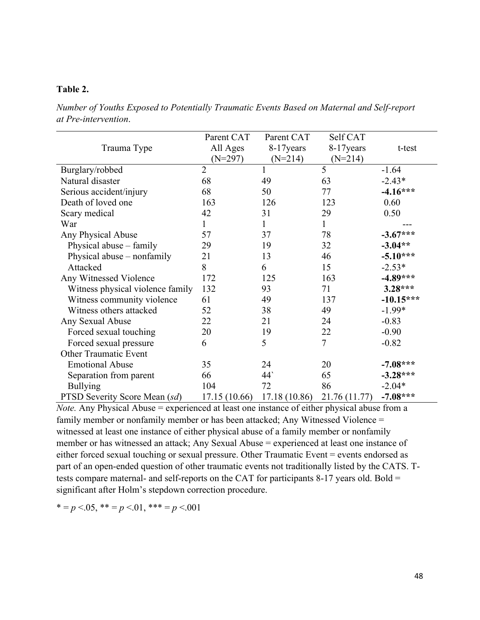# **Table 2.**

*Number of Youths Exposed to Potentially Traumatic Events Based on Maternal and Self-report at Pre-intervention*.

|                                  | Parent CAT     | Parent CAT    | Self CAT      |             |
|----------------------------------|----------------|---------------|---------------|-------------|
| Trauma Type                      | All Ages       | 8-17 years    | 8-17 years    | t-test      |
|                                  | $(N=297)$      | $(N=214)$     | $(N=214)$     |             |
| Burglary/robbed                  | $\overline{2}$ | 1             | 5             | $-1.64$     |
| Natural disaster                 | 68             | 49            | 63            | $-2.43*$    |
| Serious accident/injury          | 68             | 50            | 77            | $-4.16***$  |
| Death of loved one               | 163            | 126           | 123           | 0.60        |
| Scary medical                    | 42             | 31            | 29            | 0.50        |
| War                              | 1              | 1             | 1             |             |
| Any Physical Abuse               | 57             | 37            | 78            | $-3.67***$  |
| Physical abuse – family          | 29             | 19            | 32            | $-3.04**$   |
| Physical abuse - nonfamily       | 21             | 13            | 46            | $-5.10***$  |
| Attacked                         | 8              | 6             | 15            | $-2.53*$    |
| Any Witnessed Violence           | 172            | 125           | 163           | $-4.89***$  |
| Witness physical violence family | 132            | 93            | 71            | $3.28***$   |
| Witness community violence       | 61             | 49            | 137           | $-10.15***$ |
| Witness others attacked          | 52             | 38            | 49            | $-1.99*$    |
| Any Sexual Abuse                 | 22             | 21            | 24            | $-0.83$     |
| Forced sexual touching           | 20             | 19            | 22            | $-0.90$     |
| Forced sexual pressure           | 6              | 5             | 7             | $-0.82$     |
| <b>Other Traumatic Event</b>     |                |               |               |             |
| <b>Emotional Abuse</b>           | 35             | 24            | 20            | $-7.08***$  |
| Separation from parent           | 66             | $44^{\circ}$  | 65            | $-3.28***$  |
| <b>Bullying</b>                  | 104            | 72            | 86            | $-2.04*$    |
| PTSD Severity Score Mean (sd)    | 17.15 (10.66)  | 17.18 (10.86) | 21.76 (11.77) | $-7.08***$  |

*Note.* Any Physical Abuse = experienced at least one instance of either physical abuse from a family member or nonfamily member or has been attacked; Any Witnessed Violence = witnessed at least one instance of either physical abuse of a family member or nonfamily member or has witnessed an attack; Any Sexual Abuse = experienced at least one instance of either forced sexual touching or sexual pressure. Other Traumatic Event = events endorsed as part of an open-ended question of other traumatic events not traditionally listed by the CATS. Ttests compare maternal- and self-reports on the CAT for participants 8-17 years old. Bold = significant after Holm's stepdown correction procedure.

 $* = p < .05, ** = p < .01,*** = p < .001$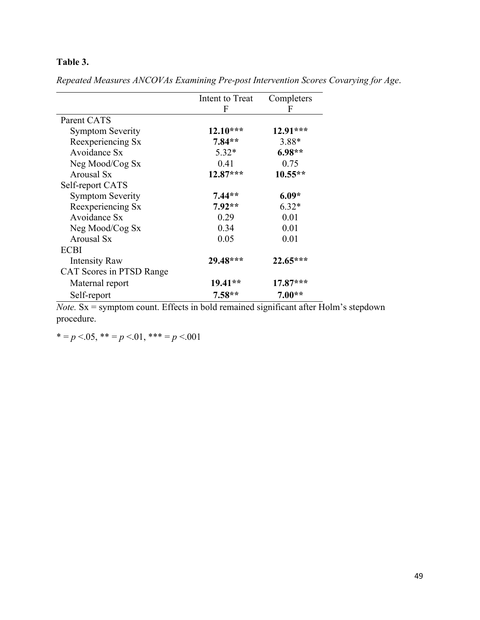# **Table 3.**

|                          | Intent to Treat | Completers |
|--------------------------|-----------------|------------|
|                          | F               | F          |
| Parent CATS              |                 |            |
| <b>Symptom Severity</b>  | $12.10***$      | 12.91***   |
| Reexperiencing Sx        | $7.84**$        | 3.88*      |
| Avoidance Sx             | $5.32*$         | $6.98**$   |
| Neg Mood/Cog Sx          | 0.41            | 0.75       |
| Arousal Sx               | $12.87***$      | $10.55**$  |
| Self-report CATS         |                 |            |
| <b>Symptom Severity</b>  | $7.44**$        | $6.09*$    |
| Reexperiencing Sx        | $7.92**$        | $6.32*$    |
| Avoidance Sx             | 0.29            | 0.01       |
| Neg Mood/Cog Sx          | 0.34            | 0.01       |
| Arousal Sx               | 0.05            | 0.01       |
| <b>ECBI</b>              |                 |            |
| <b>Intensity Raw</b>     | $29.48***$      | $22.65***$ |
| CAT Scores in PTSD Range |                 |            |
| Maternal report          | $19.41**$       | 17.87***   |
| Self-report              | $7.58**$        | $7.00**$   |

*Repeated Measures ANCOVAs Examining Pre-post Intervention Scores Covarying for Age*.

*Note.* Sx = symptom count. Effects in bold remained significant after Holm's stepdown procedure.

 $* = p < .05, ** = p < .01,*** = p < .001$